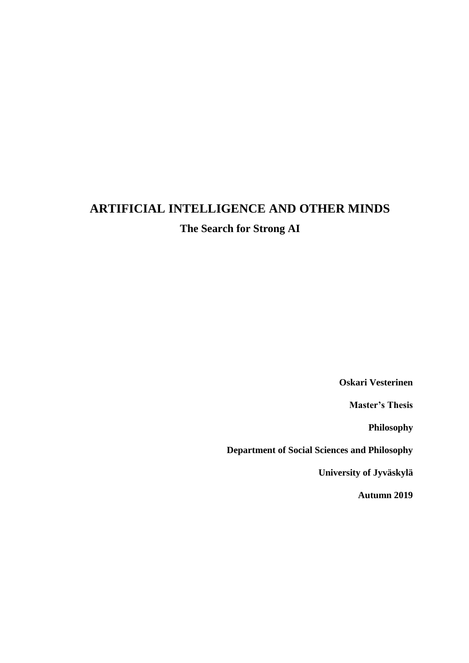# **ARTIFICIAL INTELLIGENCE AND OTHER MINDS The Search for Strong AI**

**Oskari Vesterinen**

**Master's Thesis**

**Philosophy**

**Department of Social Sciences and Philosophy**

**University of Jyväskylä**

**Autumn 2019**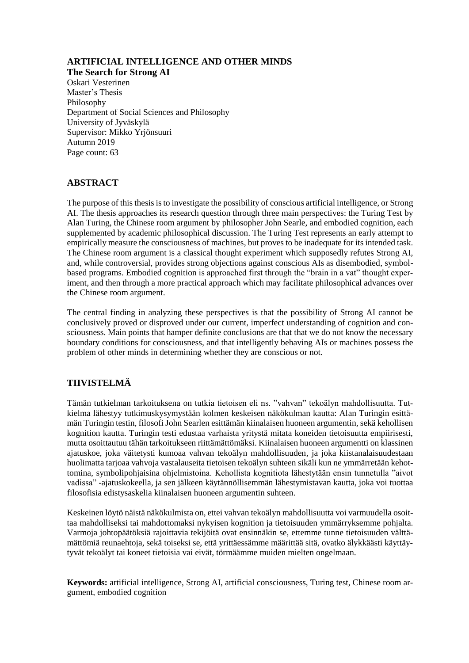### **ARTIFICIAL INTELLIGENCE AND OTHER MINDS**

**The Search for Strong AI**

Oskari Vesterinen Master's Thesis Philosophy Department of Social Sciences and Philosophy University of Jyväskylä Supervisor: Mikko Yrjönsuuri Autumn 2019 Page count: 63

#### **ABSTRACT**

The purpose of this thesis is to investigate the possibility of conscious artificial intelligence, or Strong AI. The thesis approaches its research question through three main perspectives: the Turing Test by Alan Turing, the Chinese room argument by philosopher John Searle, and embodied cognition, each supplemented by academic philosophical discussion. The Turing Test represents an early attempt to empirically measure the consciousness of machines, but proves to be inadequate for its intended task. The Chinese room argument is a classical thought experiment which supposedly refutes Strong AI, and, while controversial, provides strong objections against conscious AIs as disembodied, symbolbased programs. Embodied cognition is approached first through the "brain in a vat" thought experiment, and then through a more practical approach which may facilitate philosophical advances over the Chinese room argument.

The central finding in analyzing these perspectives is that the possibility of Strong AI cannot be conclusively proved or disproved under our current, imperfect understanding of cognition and consciousness. Main points that hamper definite conclusions are that that we do not know the necessary boundary conditions for consciousness, and that intelligently behaving AIs or machines possess the problem of other minds in determining whether they are conscious or not.

#### **TIIVISTELMÄ**

Tämän tutkielman tarkoituksena on tutkia tietoisen eli ns. "vahvan" tekoälyn mahdollisuutta. Tutkielma lähestyy tutkimuskysymystään kolmen keskeisen näkökulman kautta: Alan Turingin esittämän Turingin testin, filosofi John Searlen esittämän kiinalaisen huoneen argumentin, sekä kehollisen kognition kautta. Turingin testi edustaa varhaista yritystä mitata koneiden tietoisuutta empiirisesti, mutta osoittautuu tähän tarkoitukseen riittämättömäksi. Kiinalaisen huoneen argumentti on klassinen ajatuskoe, joka väitetysti kumoaa vahvan tekoälyn mahdollisuuden, ja joka kiistanalaisuudestaan huolimatta tarjoaa vahvoja vastalauseita tietoisen tekoälyn suhteen sikäli kun ne ymmärretään kehottomina, symbolipohjaisina ohjelmistoina. Kehollista kognitiota lähestytään ensin tunnetulla "aivot vadissa" -ajatuskokeella, ja sen jälkeen käytännöllisemmän lähestymistavan kautta, joka voi tuottaa filosofisia edistysaskelia kiinalaisen huoneen argumentin suhteen.

Keskeinen löytö näistä näkökulmista on, ettei vahvan tekoälyn mahdollisuutta voi varmuudella osoittaa mahdolliseksi tai mahdottomaksi nykyisen kognition ja tietoisuuden ymmärryksemme pohjalta. Varmoja johtopäätöksiä rajoittavia tekijöitä ovat ensinnäkin se, ettemme tunne tietoisuuden välttämättömiä reunaehtoja, sekä toiseksi se, että yrittäessämme määrittää sitä, ovatko älykkäästi käyttäytyvät tekoälyt tai koneet tietoisia vai eivät, törmäämme muiden mielten ongelmaan.

**Keywords:** artificial intelligence, Strong AI, artificial consciousness, Turing test, Chinese room argument, embodied cognition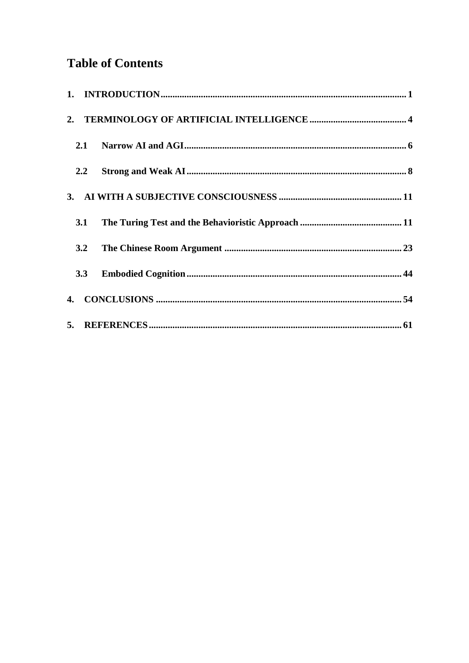## **Table of Contents**

<span id="page-2-0"></span>

| 3.1 |  |
|-----|--|
|     |  |
|     |  |
|     |  |
|     |  |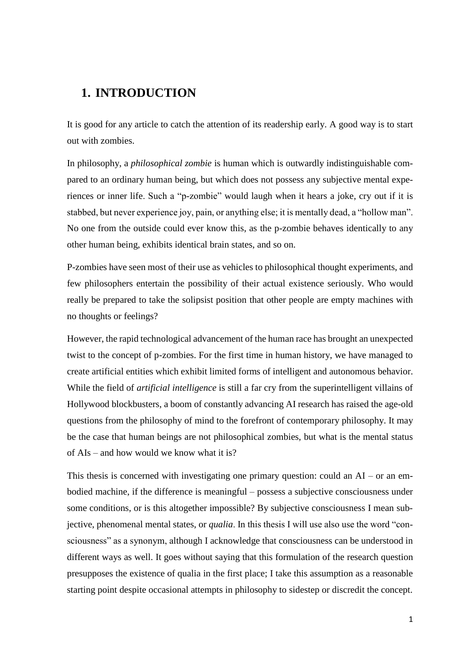## **1. INTRODUCTION**

It is good for any article to catch the attention of its readership early. A good way is to start out with zombies.

In philosophy, a *philosophical zombie* is human which is outwardly indistinguishable compared to an ordinary human being, but which does not possess any subjective mental experiences or inner life. Such a "p-zombie" would laugh when it hears a joke, cry out if it is stabbed, but never experience joy, pain, or anything else; it is mentally dead, a "hollow man". No one from the outside could ever know this, as the p-zombie behaves identically to any other human being, exhibits identical brain states, and so on.

P-zombies have seen most of their use as vehicles to philosophical thought experiments, and few philosophers entertain the possibility of their actual existence seriously. Who would really be prepared to take the solipsist position that other people are empty machines with no thoughts or feelings?

However, the rapid technological advancement of the human race has brought an unexpected twist to the concept of p-zombies. For the first time in human history, we have managed to create artificial entities which exhibit limited forms of intelligent and autonomous behavior. While the field of *artificial intelligence* is still a far cry from the superintelligent villains of Hollywood blockbusters, a boom of constantly advancing AI research has raised the age-old questions from the philosophy of mind to the forefront of contemporary philosophy. It may be the case that human beings are not philosophical zombies, but what is the mental status of AIs – and how would we know what it is?

This thesis is concerned with investigating one primary question: could an  $AI - or$  an embodied machine, if the difference is meaningful – possess a subjective consciousness under some conditions, or is this altogether impossible? By subjective consciousness I mean subjective, phenomenal mental states, or *qualia*. In this thesis I will use also use the word "consciousness" as a synonym, although I acknowledge that consciousness can be understood in different ways as well. It goes without saying that this formulation of the research question presupposes the existence of qualia in the first place; I take this assumption as a reasonable starting point despite occasional attempts in philosophy to sidestep or discredit the concept.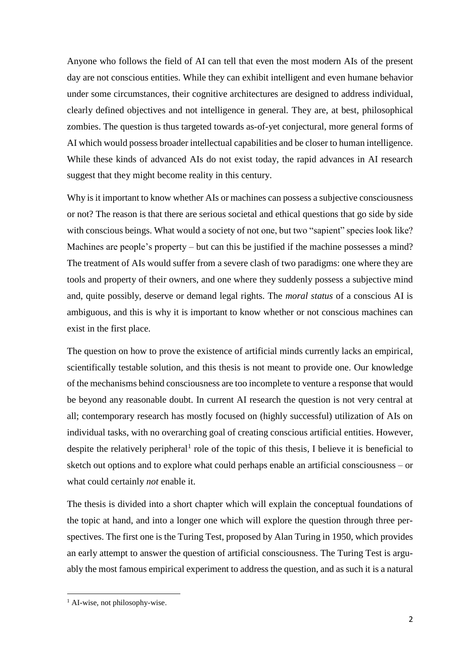Anyone who follows the field of AI can tell that even the most modern AIs of the present day are not conscious entities. While they can exhibit intelligent and even humane behavior under some circumstances, their cognitive architectures are designed to address individual, clearly defined objectives and not intelligence in general. They are, at best, philosophical zombies. The question is thus targeted towards as-of-yet conjectural, more general forms of AI which would possess broader intellectual capabilities and be closer to human intelligence. While these kinds of advanced AIs do not exist today, the rapid advances in AI research suggest that they might become reality in this century.

Why is it important to know whether AIs or machines can possess a subjective consciousness or not? The reason is that there are serious societal and ethical questions that go side by side with conscious beings. What would a society of not one, but two "sapient" species look like? Machines are people's property – but can this be justified if the machine possesses a mind? The treatment of AIs would suffer from a severe clash of two paradigms: one where they are tools and property of their owners, and one where they suddenly possess a subjective mind and, quite possibly, deserve or demand legal rights. The *moral status* of a conscious AI is ambiguous, and this is why it is important to know whether or not conscious machines can exist in the first place.

The question on how to prove the existence of artificial minds currently lacks an empirical, scientifically testable solution, and this thesis is not meant to provide one. Our knowledge of the mechanisms behind consciousness are too incomplete to venture a response that would be beyond any reasonable doubt. In current AI research the question is not very central at all; contemporary research has mostly focused on (highly successful) utilization of AIs on individual tasks, with no overarching goal of creating conscious artificial entities. However, despite the relatively peripheral<sup>1</sup> role of the topic of this thesis, I believe it is beneficial to sketch out options and to explore what could perhaps enable an artificial consciousness – or what could certainly *not* enable it.

The thesis is divided into a short chapter which will explain the conceptual foundations of the topic at hand, and into a longer one which will explore the question through three perspectives. The first one is the Turing Test, proposed by Alan Turing in 1950, which provides an early attempt to answer the question of artificial consciousness. The Turing Test is arguably the most famous empirical experiment to address the question, and as such it is a natural

 $\overline{a}$ 

<sup>&</sup>lt;sup>1</sup> AI-wise, not philosophy-wise.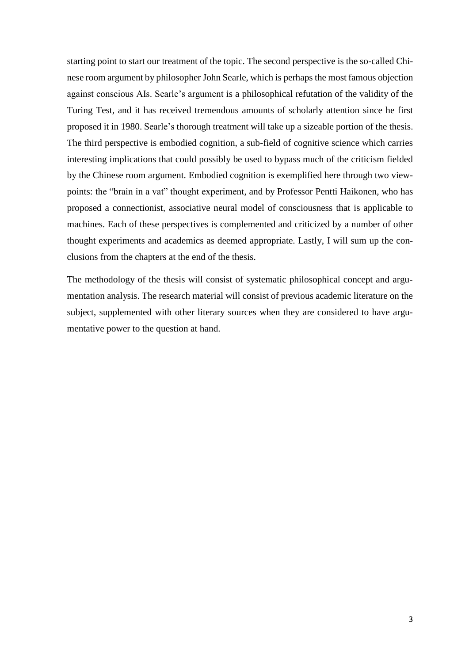starting point to start our treatment of the topic. The second perspective is the so-called Chinese room argument by philosopher John Searle, which is perhaps the most famous objection against conscious AIs. Searle's argument is a philosophical refutation of the validity of the Turing Test, and it has received tremendous amounts of scholarly attention since he first proposed it in 1980. Searle's thorough treatment will take up a sizeable portion of the thesis. The third perspective is embodied cognition, a sub-field of cognitive science which carries interesting implications that could possibly be used to bypass much of the criticism fielded by the Chinese room argument. Embodied cognition is exemplified here through two viewpoints: the "brain in a vat" thought experiment, and by Professor Pentti Haikonen, who has proposed a connectionist, associative neural model of consciousness that is applicable to machines. Each of these perspectives is complemented and criticized by a number of other thought experiments and academics as deemed appropriate. Lastly, I will sum up the conclusions from the chapters at the end of the thesis.

The methodology of the thesis will consist of systematic philosophical concept and argumentation analysis. The research material will consist of previous academic literature on the subject, supplemented with other literary sources when they are considered to have argumentative power to the question at hand.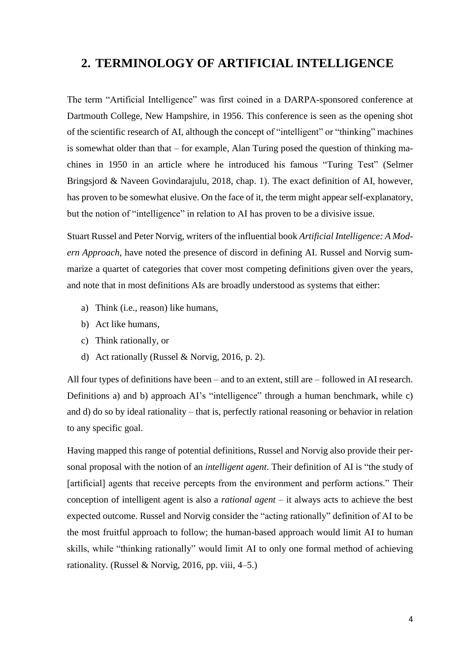## <span id="page-6-0"></span>**2. TERMINOLOGY OF ARTIFICIAL INTELLIGENCE**

The term "Artificial Intelligence" was first coined in a DARPA-sponsored conference at Dartmouth College, New Hampshire, in 1956. This conference is seen as the opening shot of the scientific research of AI, although the concept of "intelligent" or "thinking" machines is somewhat older than that – for example, Alan Turing posed the question of thinking machines in 1950 in an article where he introduced his famous "Turing Test" (Selmer Bringsjord & Naveen Govindarajulu, 2018, chap. 1). The exact definition of AI, however, has proven to be somewhat elusive. On the face of it, the term might appear self-explanatory, but the notion of "intelligence" in relation to AI has proven to be a divisive issue.

Stuart Russel and Peter Norvig, writers of the influential book *Artificial Intelligence: A Modern Approach*, have noted the presence of discord in defining AI. Russel and Norvig summarize a quartet of categories that cover most competing definitions given over the years, and note that in most definitions AIs are broadly understood as systems that either:

- a) Think (i.e., reason) like humans,
- b) Act like humans,
- c) Think rationally, or
- d) Act rationally (Russel & Norvig, 2016, p. 2).

All four types of definitions have been – and to an extent, still are – followed in AI research. Definitions a) and b) approach AI's "intelligence" through a human benchmark, while c) and d) do so by ideal rationality – that is, perfectly rational reasoning or behavior in relation to any specific goal.

Having mapped this range of potential definitions, Russel and Norvig also provide their personal proposal with the notion of an *intelligent agent*. Their definition of AI is "the study of [artificial] agents that receive percepts from the environment and perform actions." Their conception of intelligent agent is also a *rational agent* – it always acts to achieve the best expected outcome. Russel and Norvig consider the "acting rationally" definition of AI to be the most fruitful approach to follow; the human-based approach would limit AI to human skills, while "thinking rationally" would limit AI to only one formal method of achieving rationality. (Russel & Norvig, 2016, pp. viii,  $4-5$ .)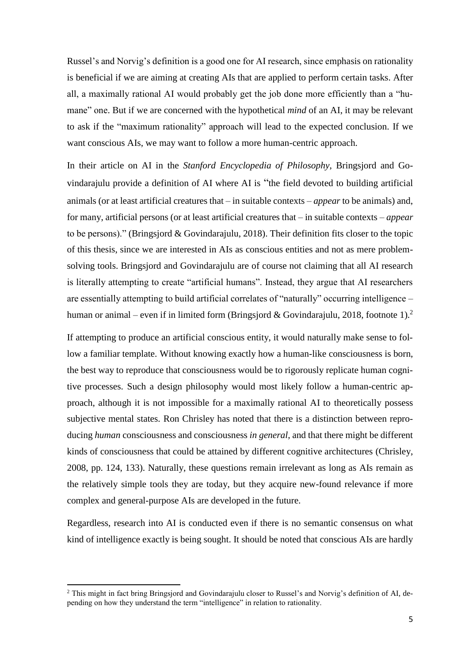Russel's and Norvig's definition is a good one for AI research, since emphasis on rationality is beneficial if we are aiming at creating AIs that are applied to perform certain tasks. After all, a maximally rational AI would probably get the job done more efficiently than a "humane" one. But if we are concerned with the hypothetical *mind* of an AI, it may be relevant to ask if the "maximum rationality" approach will lead to the expected conclusion. If we want conscious AIs, we may want to follow a more human-centric approach.

In their article on AI in the *Stanford Encyclopedia of Philosophy*, Bringsjord and Govindarajulu provide a definition of AI where AI is "the field devoted to building artificial animals (or at least artificial creatures that – in suitable contexts – *appear* to be animals) and, for many, artificial persons (or at least artificial creatures that – in suitable contexts – *appear* to be persons)." (Bringsjord & Govindarajulu, 2018). Their definition fits closer to the topic of this thesis, since we are interested in AIs as conscious entities and not as mere problemsolving tools. Bringsjord and Govindarajulu are of course not claiming that all AI research is literally attempting to create "artificial humans". Instead, they argue that AI researchers are essentially attempting to build artificial correlates of "naturally" occurring intelligence – human or animal – even if in limited form (Bringsjord & Govindarajulu, 2018, footnote 1).<sup>2</sup>

If attempting to produce an artificial conscious entity, it would naturally make sense to follow a familiar template. Without knowing exactly how a human-like consciousness is born, the best way to reproduce that consciousness would be to rigorously replicate human cognitive processes. Such a design philosophy would most likely follow a human-centric approach, although it is not impossible for a maximally rational AI to theoretically possess subjective mental states. Ron Chrisley has noted that there is a distinction between reproducing *human* consciousness and consciousness *in general*, and that there might be different kinds of consciousness that could be attained by different cognitive architectures (Chrisley, 2008, pp. 124, 133). Naturally, these questions remain irrelevant as long as AIs remain as the relatively simple tools they are today, but they acquire new-found relevance if more complex and general-purpose AIs are developed in the future.

Regardless, research into AI is conducted even if there is no semantic consensus on what kind of intelligence exactly is being sought. It should be noted that conscious AIs are hardly

**.** 

<sup>&</sup>lt;sup>2</sup> This might in fact bring Bringsjord and Govindarajulu closer to Russel's and Norvig's definition of AI, depending on how they understand the term "intelligence" in relation to rationality.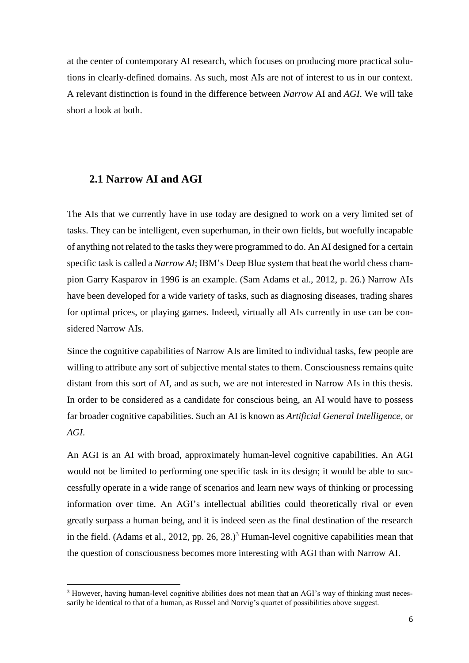at the center of contemporary AI research, which focuses on producing more practical solutions in clearly-defined domains. As such, most AIs are not of interest to us in our context. A relevant distinction is found in the difference between *Narrow* AI and *AGI*. We will take short a look at both.

#### <span id="page-8-0"></span>**2.1 Narrow AI and AGI**

**.** 

The AIs that we currently have in use today are designed to work on a very limited set of tasks. They can be intelligent, even superhuman, in their own fields, but woefully incapable of anything not related to the tasks they were programmed to do. An AI designed for a certain specific task is called a *Narrow AI*; IBM's Deep Blue system that beat the world chess champion Garry Kasparov in 1996 is an example. (Sam Adams et al., 2012, p. 26.) Narrow AIs have been developed for a wide variety of tasks, such as diagnosing diseases, trading shares for optimal prices, or playing games. Indeed, virtually all AIs currently in use can be considered Narrow AIs.

Since the cognitive capabilities of Narrow AIs are limited to individual tasks, few people are willing to attribute any sort of subjective mental states to them. Consciousness remains quite distant from this sort of AI, and as such, we are not interested in Narrow AIs in this thesis. In order to be considered as a candidate for conscious being, an AI would have to possess far broader cognitive capabilities. Such an AI is known as *Artificial General Intelligence*, or *AGI*.

An AGI is an AI with broad, approximately human-level cognitive capabilities. An AGI would not be limited to performing one specific task in its design; it would be able to successfully operate in a wide range of scenarios and learn new ways of thinking or processing information over time. An AGI's intellectual abilities could theoretically rival or even greatly surpass a human being, and it is indeed seen as the final destination of the research in the field. (Adams et al., 2012, pp. 26, 28.)<sup>3</sup> Human-level cognitive capabilities mean that the question of consciousness becomes more interesting with AGI than with Narrow AI.

<sup>&</sup>lt;sup>3</sup> However, having human-level cognitive abilities does not mean that an AGI's way of thinking must necessarily be identical to that of a human, as Russel and Norvig's quartet of possibilities above suggest.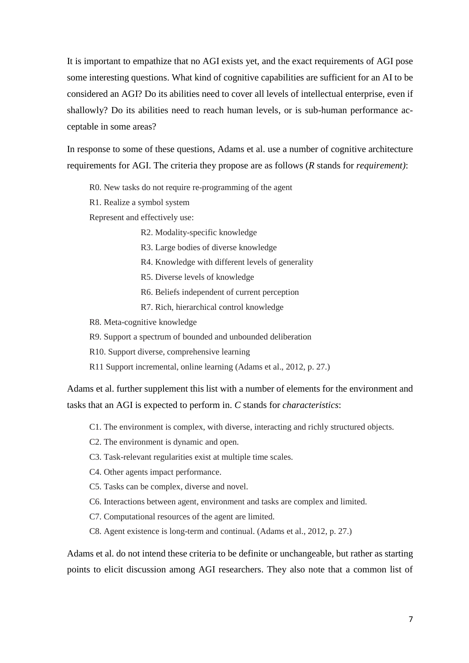It is important to empathize that no AGI exists yet, and the exact requirements of AGI pose some interesting questions. What kind of cognitive capabilities are sufficient for an AI to be considered an AGI? Do its abilities need to cover all levels of intellectual enterprise, even if shallowly? Do its abilities need to reach human levels, or is sub-human performance acceptable in some areas?

In response to some of these questions, Adams et al. use a number of cognitive architecture requirements for AGI. The criteria they propose are as follows (*R* stands for *requirement)*:

R0. New tasks do not require re-programming of the agent

R1. Realize a symbol system

Represent and effectively use:

R2. Modality-specific knowledge

- R3. Large bodies of diverse knowledge
- R4. Knowledge with different levels of generality
- R5. Diverse levels of knowledge
- R6. Beliefs independent of current perception
- R7. Rich, hierarchical control knowledge
- R8. Meta-cognitive knowledge
- R9. Support a spectrum of bounded and unbounded deliberation
- R10. Support diverse, comprehensive learning
- R11 Support incremental, online learning (Adams et al., 2012, p. 27.)

Adams et al. further supplement this list with a number of elements for the environment and tasks that an AGI is expected to perform in. *C* stands for *characteristics*:

- C1. The environment is complex, with diverse, interacting and richly structured objects.
- C2. The environment is dynamic and open.
- C3. Task-relevant regularities exist at multiple time scales.
- C4. Other agents impact performance.
- C5. Tasks can be complex, diverse and novel.
- C6. Interactions between agent, environment and tasks are complex and limited.
- C7. Computational resources of the agent are limited.
- C8. Agent existence is long-term and continual. (Adams et al., 2012, p. 27.)

Adams et al. do not intend these criteria to be definite or unchangeable, but rather as starting points to elicit discussion among AGI researchers. They also note that a common list of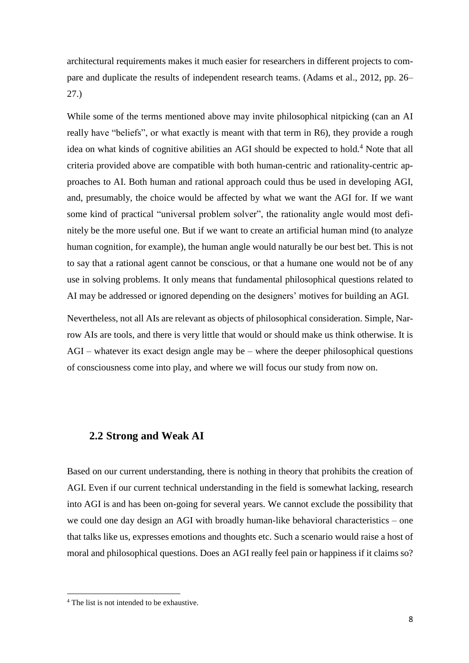architectural requirements makes it much easier for researchers in different projects to compare and duplicate the results of independent research teams. (Adams et al., 2012, pp. 26– 27.)

While some of the terms mentioned above may invite philosophical nitpicking (can an AI really have "beliefs", or what exactly is meant with that term in R6), they provide a rough idea on what kinds of cognitive abilities an AGI should be expected to hold.<sup>4</sup> Note that all criteria provided above are compatible with both human-centric and rationality-centric approaches to AI. Both human and rational approach could thus be used in developing AGI, and, presumably, the choice would be affected by what we want the AGI for. If we want some kind of practical "universal problem solver", the rationality angle would most definitely be the more useful one. But if we want to create an artificial human mind (to analyze human cognition, for example), the human angle would naturally be our best bet. This is not to say that a rational agent cannot be conscious, or that a humane one would not be of any use in solving problems. It only means that fundamental philosophical questions related to AI may be addressed or ignored depending on the designers' motives for building an AGI.

Nevertheless, not all AIs are relevant as objects of philosophical consideration. Simple, Narrow AIs are tools, and there is very little that would or should make us think otherwise. It is AGI – whatever its exact design angle may be – where the deeper philosophical questions of consciousness come into play, and where we will focus our study from now on.

#### <span id="page-10-0"></span>**2.2 Strong and Weak AI**

Based on our current understanding, there is nothing in theory that prohibits the creation of AGI. Even if our current technical understanding in the field is somewhat lacking, research into AGI is and has been on-going for several years. We cannot exclude the possibility that we could one day design an AGI with broadly human-like behavioral characteristics – one that talks like us, expresses emotions and thoughts etc. Such a scenario would raise a host of moral and philosophical questions. Does an AGI really feel pain or happiness if it claims so?

 $\overline{a}$ 

<sup>4</sup> The list is not intended to be exhaustive.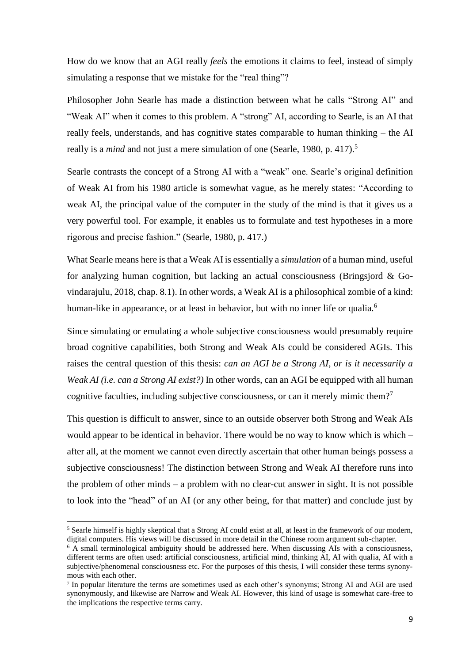How do we know that an AGI really *feels* the emotions it claims to feel, instead of simply simulating a response that we mistake for the "real thing"?

Philosopher John Searle has made a distinction between what he calls "Strong AI" and "Weak AI" when it comes to this problem. A "strong" AI, according to Searle, is an AI that really feels, understands, and has cognitive states comparable to human thinking – the AI really is a *mind* and not just a mere simulation of one (Searle, 1980, p. 417). 5

Searle contrasts the concept of a Strong AI with a "weak" one. Searle's original definition of Weak AI from his 1980 article is somewhat vague, as he merely states: "According to weak AI, the principal value of the computer in the study of the mind is that it gives us a very powerful tool. For example, it enables us to formulate and test hypotheses in a more rigorous and precise fashion." (Searle, 1980, p. 417.)

What Searle means here is that a Weak AI is essentially a *simulation* of a human mind, useful for analyzing human cognition, but lacking an actual consciousness (Bringsjord & Govindarajulu, 2018, chap. 8.1). In other words, a Weak AI is a philosophical zombie of a kind: human-like in appearance, or at least in behavior, but with no inner life or qualia.<sup>6</sup>

Since simulating or emulating a whole subjective consciousness would presumably require broad cognitive capabilities, both Strong and Weak AIs could be considered AGIs. This raises the central question of this thesis: *can an AGI be a Strong AI, or is it necessarily a Weak AI (i.e. can a Strong AI exist?)* In other words, can an AGI be equipped with all human cognitive faculties, including subjective consciousness, or can it merely mimic them?<sup>7</sup>

This question is difficult to answer, since to an outside observer both Strong and Weak AIs would appear to be identical in behavior. There would be no way to know which is which – after all, at the moment we cannot even directly ascertain that other human beings possess a subjective consciousness! The distinction between Strong and Weak AI therefore runs into the problem of other minds – a problem with no clear-cut answer in sight. It is not possible to look into the "head" of an AI (or any other being, for that matter) and conclude just by

1

<sup>&</sup>lt;sup>5</sup> Searle himself is highly skeptical that a Strong AI could exist at all, at least in the framework of our modern, digital computers. His views will be discussed in more detail in the Chinese room argument sub-chapter.

 $6$  A small terminological ambiguity should be addressed here. When discussing AIs with a consciousness, different terms are often used: artificial consciousness, artificial mind, thinking AI, AI with qualia, AI with a subjective/phenomenal consciousness etc. For the purposes of this thesis, I will consider these terms synonymous with each other.

<sup>7</sup> In popular literature the terms are sometimes used as each other's synonyms; Strong AI and AGI are used synonymously, and likewise are Narrow and Weak AI. However, this kind of usage is somewhat care-free to the implications the respective terms carry.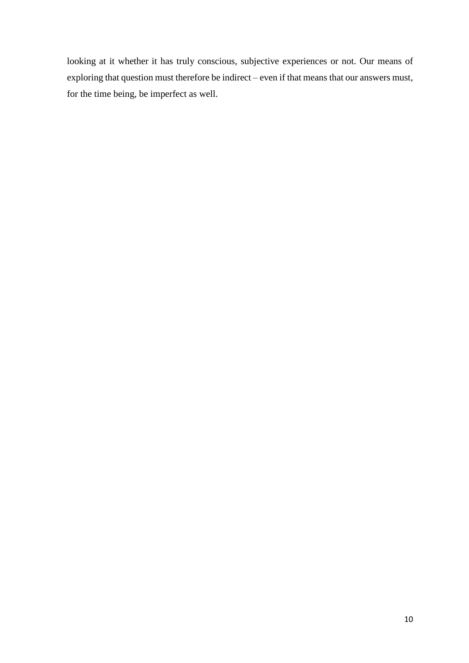looking at it whether it has truly conscious, subjective experiences or not. Our means of exploring that question must therefore be indirect – even if that means that our answers must, for the time being, be imperfect as well.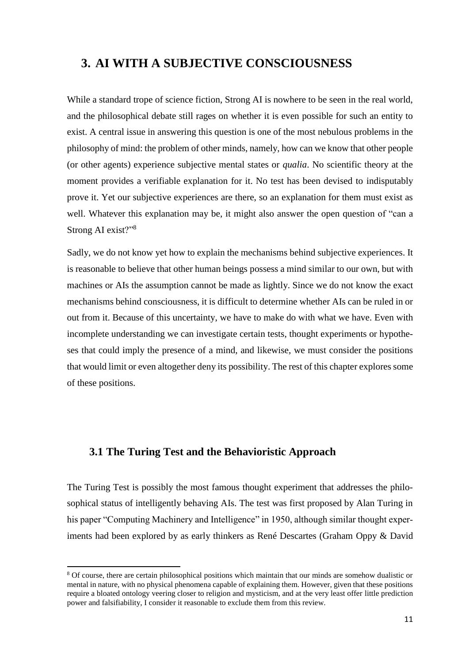## <span id="page-13-0"></span>**3. AI WITH A SUBJECTIVE CONSCIOUSNESS**

While a standard trope of science fiction, Strong AI is nowhere to be seen in the real world, and the philosophical debate still rages on whether it is even possible for such an entity to exist. A central issue in answering this question is one of the most nebulous problems in the philosophy of mind: the problem of other minds, namely, how can we know that other people (or other agents) experience subjective mental states or *qualia*. No scientific theory at the moment provides a verifiable explanation for it. No test has been devised to indisputably prove it. Yet our subjective experiences are there, so an explanation for them must exist as well. Whatever this explanation may be, it might also answer the open question of "can a Strong AI exist?"<sup>8</sup>

Sadly, we do not know yet how to explain the mechanisms behind subjective experiences. It is reasonable to believe that other human beings possess a mind similar to our own, but with machines or AIs the assumption cannot be made as lightly. Since we do not know the exact mechanisms behind consciousness, it is difficult to determine whether AIs can be ruled in or out from it. Because of this uncertainty, we have to make do with what we have. Even with incomplete understanding we can investigate certain tests, thought experiments or hypotheses that could imply the presence of a mind, and likewise, we must consider the positions that would limit or even altogether deny its possibility. The rest of this chapter explores some of these positions.

#### <span id="page-13-1"></span>**3.1 The Turing Test and the Behavioristic Approach**

**.** 

The Turing Test is possibly the most famous thought experiment that addresses the philosophical status of intelligently behaving AIs. The test was first proposed by Alan Turing in his paper "Computing Machinery and Intelligence" in 1950, although similar thought experiments had been explored by as early thinkers as René Descartes (Graham Oppy & David

<sup>8</sup> Of course, there are certain philosophical positions which maintain that our minds are somehow dualistic or mental in nature, with no physical phenomena capable of explaining them. However, given that these positions require a bloated ontology veering closer to religion and mysticism, and at the very least offer little prediction power and falsifiability, I consider it reasonable to exclude them from this review.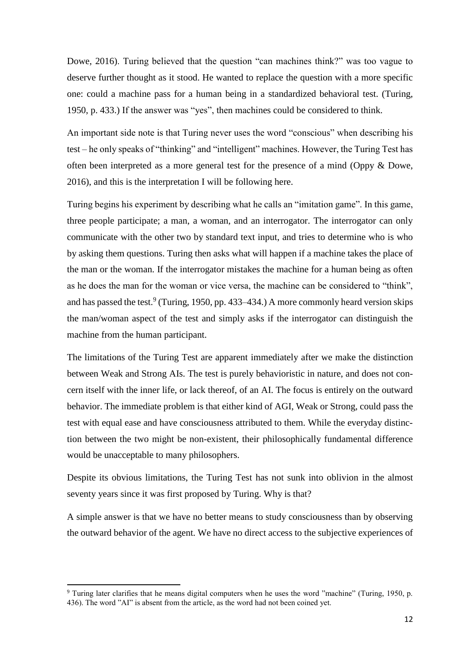Dowe, 2016). Turing believed that the question "can machines think?" was too vague to deserve further thought as it stood. He wanted to replace the question with a more specific one: could a machine pass for a human being in a standardized behavioral test. (Turing, 1950, p. 433.) If the answer was "yes", then machines could be considered to think.

An important side note is that Turing never uses the word "conscious" when describing his test – he only speaks of "thinking" and "intelligent" machines. However, the Turing Test has often been interpreted as a more general test for the presence of a mind (Oppy & Dowe, 2016), and this is the interpretation I will be following here.

Turing begins his experiment by describing what he calls an "imitation game". In this game, three people participate; a man, a woman, and an interrogator. The interrogator can only communicate with the other two by standard text input, and tries to determine who is who by asking them questions. Turing then asks what will happen if a machine takes the place of the man or the woman. If the interrogator mistakes the machine for a human being as often as he does the man for the woman or vice versa, the machine can be considered to "think", and has passed the test.<sup>9</sup> (Turing, 1950, pp. 433–434.) A more commonly heard version skips the man/woman aspect of the test and simply asks if the interrogator can distinguish the machine from the human participant.

The limitations of the Turing Test are apparent immediately after we make the distinction between Weak and Strong AIs. The test is purely behavioristic in nature, and does not concern itself with the inner life, or lack thereof, of an AI. The focus is entirely on the outward behavior. The immediate problem is that either kind of AGI, Weak or Strong, could pass the test with equal ease and have consciousness attributed to them. While the everyday distinction between the two might be non-existent, their philosophically fundamental difference would be unacceptable to many philosophers.

Despite its obvious limitations, the Turing Test has not sunk into oblivion in the almost seventy years since it was first proposed by Turing. Why is that?

A simple answer is that we have no better means to study consciousness than by observing the outward behavior of the agent. We have no direct access to the subjective experiences of

**.** 

<sup>9</sup> Turing later clarifies that he means digital computers when he uses the word "machine" (Turing, 1950, p. 436). The word "AI" is absent from the article, as the word had not been coined yet.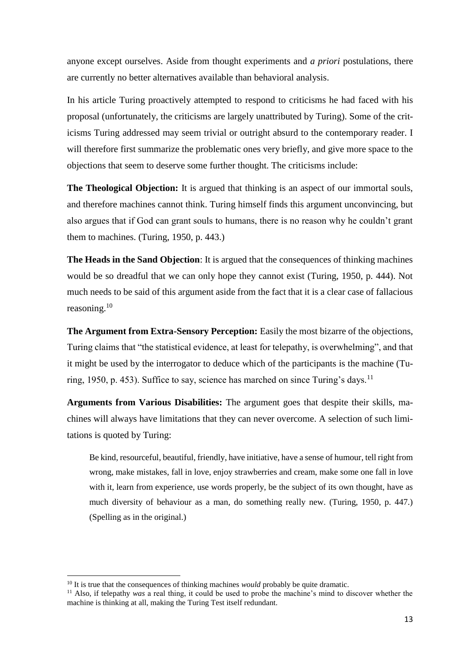anyone except ourselves. Aside from thought experiments and *a priori* postulations, there are currently no better alternatives available than behavioral analysis.

In his article Turing proactively attempted to respond to criticisms he had faced with his proposal (unfortunately, the criticisms are largely unattributed by Turing). Some of the criticisms Turing addressed may seem trivial or outright absurd to the contemporary reader. I will therefore first summarize the problematic ones very briefly, and give more space to the objections that seem to deserve some further thought. The criticisms include:

**The Theological Objection:** It is argued that thinking is an aspect of our immortal souls, and therefore machines cannot think. Turing himself finds this argument unconvincing, but also argues that if God can grant souls to humans, there is no reason why he couldn't grant them to machines. (Turing, 1950, p. 443.)

**The Heads in the Sand Objection**: It is argued that the consequences of thinking machines would be so dreadful that we can only hope they cannot exist (Turing, 1950, p. 444). Not much needs to be said of this argument aside from the fact that it is a clear case of fallacious reasoning.<sup>10</sup>

**The Argument from Extra-Sensory Perception:** Easily the most bizarre of the objections, Turing claims that "the statistical evidence, at least for telepathy, is overwhelming", and that it might be used by the interrogator to deduce which of the participants is the machine (Turing, 1950, p. 453). Suffice to say, science has marched on since Turing's days.<sup>11</sup>

**Arguments from Various Disabilities:** The argument goes that despite their skills, machines will always have limitations that they can never overcome. A selection of such limitations is quoted by Turing:

Be kind, resourceful, beautiful, friendly, have initiative, have a sense of humour, tell right from wrong, make mistakes, fall in love, enjoy strawberries and cream, make some one fall in love with it, learn from experience, use words properly, be the subject of its own thought, have as much diversity of behaviour as a man, do something really new. (Turing, 1950, p. 447.) (Spelling as in the original.)

1

<sup>&</sup>lt;sup>10</sup> It is true that the consequences of thinking machines *would* probably be quite dramatic.

<sup>&</sup>lt;sup>11</sup> Also, if telepathy *was* a real thing, it could be used to probe the machine's mind to discover whether the machine is thinking at all, making the Turing Test itself redundant.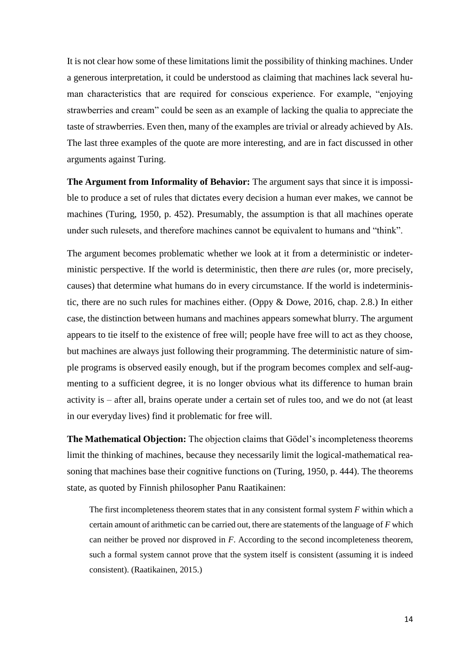It is not clear how some of these limitations limit the possibility of thinking machines. Under a generous interpretation, it could be understood as claiming that machines lack several human characteristics that are required for conscious experience. For example, "enjoying strawberries and cream" could be seen as an example of lacking the qualia to appreciate the taste of strawberries. Even then, many of the examples are trivial or already achieved by AIs. The last three examples of the quote are more interesting, and are in fact discussed in other arguments against Turing.

**The Argument from Informality of Behavior:** The argument says that since it is impossible to produce a set of rules that dictates every decision a human ever makes, we cannot be machines (Turing, 1950, p. 452). Presumably, the assumption is that all machines operate under such rulesets, and therefore machines cannot be equivalent to humans and "think".

The argument becomes problematic whether we look at it from a deterministic or indeterministic perspective. If the world is deterministic, then there *are* rules (or, more precisely, causes) that determine what humans do in every circumstance. If the world is indeterministic, there are no such rules for machines either. (Oppy & Dowe, 2016, chap. 2.8.) In either case, the distinction between humans and machines appears somewhat blurry. The argument appears to tie itself to the existence of free will; people have free will to act as they choose, but machines are always just following their programming. The deterministic nature of simple programs is observed easily enough, but if the program becomes complex and self-augmenting to a sufficient degree, it is no longer obvious what its difference to human brain activity is – after all, brains operate under a certain set of rules too, and we do not (at least in our everyday lives) find it problematic for free will.

**The Mathematical Objection:** The objection claims that Gödel's incompleteness theorems limit the thinking of machines, because they necessarily limit the logical-mathematical reasoning that machines base their cognitive functions on (Turing, 1950, p. 444). The theorems state, as quoted by Finnish philosopher Panu Raatikainen:

The first incompleteness theorem states that in any consistent formal system *F* within which a certain amount of arithmetic can be carried out, there are statements of the language of *F* which can neither be proved nor disproved in *F*. According to the second incompleteness theorem, such a formal system cannot prove that the system itself is consistent (assuming it is indeed consistent). (Raatikainen, 2015.)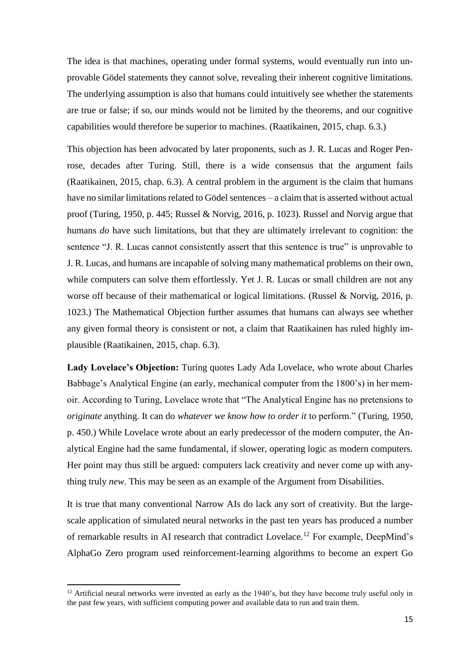The idea is that machines, operating under formal systems, would eventually run into unprovable Gödel statements they cannot solve, revealing their inherent cognitive limitations. The underlying assumption is also that humans could intuitively see whether the statements are true or false; if so, our minds would not be limited by the theorems, and our cognitive capabilities would therefore be superior to machines. (Raatikainen, 2015, chap. 6.3.)

This objection has been advocated by later proponents, such as J. R. Lucas and Roger Penrose, decades after Turing. Still, there is a wide consensus that the argument fails (Raatikainen, 2015, chap. 6.3). A central problem in the argument is the claim that humans have no similar limitations related to Gödel sentences – a claim that is asserted without actual proof (Turing, 1950, p. 445; Russel & Norvig, 2016, p. 1023). Russel and Norvig argue that humans *do* have such limitations, but that they are ultimately irrelevant to cognition: the sentence "J. R. Lucas cannot consistently assert that this sentence is true" is unprovable to J. R. Lucas, and humans are incapable of solving many mathematical problems on their own, while computers can solve them effortlessly. Yet J. R. Lucas or small children are not any worse off because of their mathematical or logical limitations. (Russel & Norvig, 2016, p. 1023.) The Mathematical Objection further assumes that humans can always see whether any given formal theory is consistent or not, a claim that Raatikainen has ruled highly implausible (Raatikainen, 2015, chap. 6.3).

**Lady Lovelace's Objection:** Turing quotes Lady Ada Lovelace, who wrote about Charles Babbage's Analytical Engine (an early, mechanical computer from the 1800's) in her memoir. According to Turing, Lovelace wrote that "The Analytical Engine has no pretensions to *originate* anything. It can do *whatever we know how to order it* to perform." (Turing, 1950, p. 450.) While Lovelace wrote about an early predecessor of the modern computer, the Analytical Engine had the same fundamental, if slower, operating logic as modern computers. Her point may thus still be argued: computers lack creativity and never come up with anything truly *new*. This may be seen as an example of the Argument from Disabilities.

It is true that many conventional Narrow AIs do lack any sort of creativity. But the largescale application of simulated neural networks in the past ten years has produced a number of remarkable results in AI research that contradict Lovelace.<sup>12</sup> For example, DeepMind's AlphaGo Zero program used reinforcement-learning algorithms to become an expert Go

**.** 

 $12$  Artificial neural networks were invented as early as the 1940's, but they have become truly useful only in the past few years, with sufficient computing power and available data to run and train them.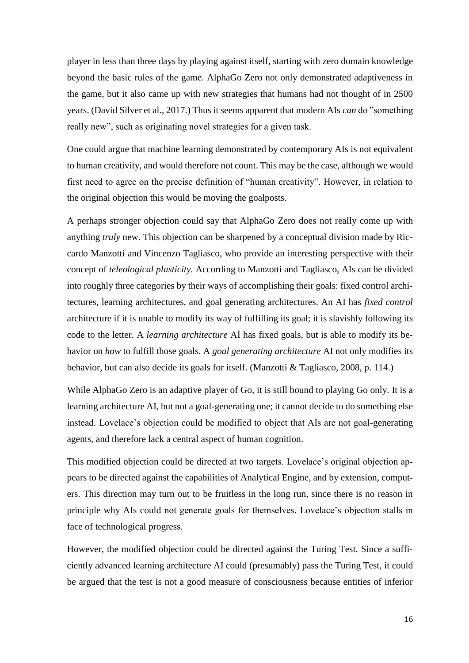player in less than three days by playing against itself, starting with zero domain knowledge beyond the basic rules of the game. AlphaGo Zero not only demonstrated adaptiveness in the game, but it also came up with new strategies that humans had not thought of in 2500 years. (David Silver et al., 2017.) Thus it seems apparent that modern AIs *can* do "something really new", such as originating novel strategies for a given task.

One could argue that machine learning demonstrated by contemporary AIs is not equivalent to human creativity, and would therefore not count. This may be the case, although we would first need to agree on the precise definition of "human creativity". However, in relation to the original objection this would be moving the goalposts.

A perhaps stronger objection could say that AlphaGo Zero does not really come up with anything *truly* new. This objection can be sharpened by a conceptual division made by Riccardo Manzotti and Vincenzo Tagliasco, who provide an interesting perspective with their concept of *teleological plasticity.* According to Manzotti and Tagliasco, AIs can be divided into roughly three categories by their ways of accomplishing their goals: fixed control architectures, learning architectures, and goal generating architectures. An AI has *fixed control*  architecture if it is unable to modify its way of fulfilling its goal; it is slavishly following its code to the letter. A *learning architecture* AI has fixed goals, but is able to modify its behavior on *how* to fulfill those goals. A *goal generating architecture* AI not only modifies its behavior, but can also decide its goals for itself. (Manzotti & Tagliasco, 2008, p. 114.)

While AlphaGo Zero is an adaptive player of Go, it is still bound to playing Go only. It is a learning architecture AI, but not a goal-generating one; it cannot decide to do something else instead. Lovelace's objection could be modified to object that AIs are not goal-generating agents, and therefore lack a central aspect of human cognition.

This modified objection could be directed at two targets. Lovelace's original objection appears to be directed against the capabilities of Analytical Engine, and by extension, computers. This direction may turn out to be fruitless in the long run, since there is no reason in principle why AIs could not generate goals for themselves. Lovelace's objection stalls in face of technological progress.

However, the modified objection could be directed against the Turing Test. Since a sufficiently advanced learning architecture AI could (presumably) pass the Turing Test, it could be argued that the test is not a good measure of consciousness because entities of inferior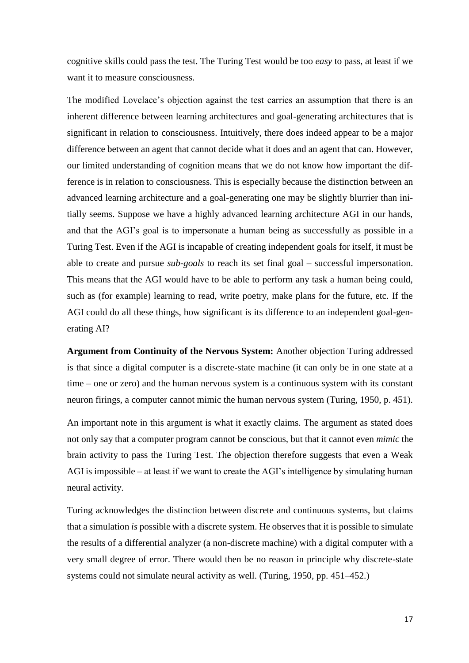cognitive skills could pass the test. The Turing Test would be too *easy* to pass, at least if we want it to measure consciousness.

The modified Lovelace's objection against the test carries an assumption that there is an inherent difference between learning architectures and goal-generating architectures that is significant in relation to consciousness. Intuitively, there does indeed appear to be a major difference between an agent that cannot decide what it does and an agent that can. However, our limited understanding of cognition means that we do not know how important the difference is in relation to consciousness. This is especially because the distinction between an advanced learning architecture and a goal-generating one may be slightly blurrier than initially seems. Suppose we have a highly advanced learning architecture AGI in our hands, and that the AGI's goal is to impersonate a human being as successfully as possible in a Turing Test. Even if the AGI is incapable of creating independent goals for itself, it must be able to create and pursue *sub-goals* to reach its set final goal – successful impersonation. This means that the AGI would have to be able to perform any task a human being could, such as (for example) learning to read, write poetry, make plans for the future, etc. If the AGI could do all these things, how significant is its difference to an independent goal-generating AI?

**Argument from Continuity of the Nervous System:** Another objection Turing addressed is that since a digital computer is a discrete-state machine (it can only be in one state at a time – one or zero) and the human nervous system is a continuous system with its constant neuron firings, a computer cannot mimic the human nervous system (Turing, 1950, p. 451).

An important note in this argument is what it exactly claims. The argument as stated does not only say that a computer program cannot be conscious, but that it cannot even *mimic* the brain activity to pass the Turing Test. The objection therefore suggests that even a Weak AGI is impossible – at least if we want to create the AGI's intelligence by simulating human neural activity.

Turing acknowledges the distinction between discrete and continuous systems, but claims that a simulation *is* possible with a discrete system. He observes that it is possible to simulate the results of a differential analyzer (a non-discrete machine) with a digital computer with a very small degree of error. There would then be no reason in principle why discrete-state systems could not simulate neural activity as well. (Turing, 1950, pp. 451–452.)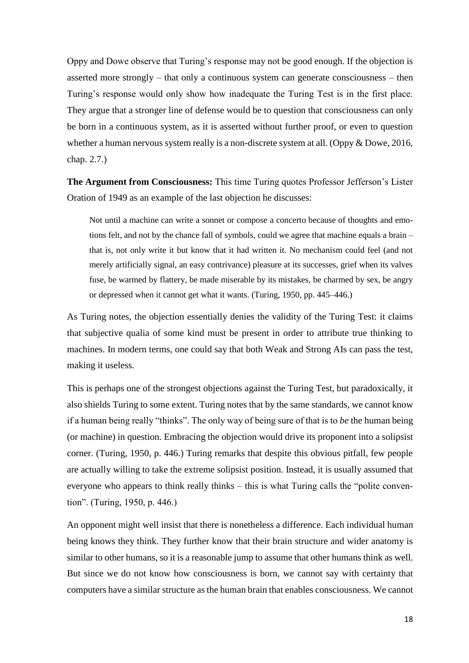Oppy and Dowe observe that Turing's response may not be good enough. If the objection is asserted more strongly – that only a continuous system can generate consciousness – then Turing's response would only show how inadequate the Turing Test is in the first place. They argue that a stronger line of defense would be to question that consciousness can only be born in a continuous system, as it is asserted without further proof, or even to question whether a human nervous system really is a non-discrete system at all. (Oppy & Dowe, 2016, chap. 2.7.)

**The Argument from Consciousness:** This time Turing quotes Professor Jefferson's Lister Oration of 1949 as an example of the last objection he discusses:

Not until a machine can write a sonnet or compose a concerto because of thoughts and emotions felt, and not by the chance fall of symbols, could we agree that machine equals a brain – that is, not only write it but know that it had written it. No mechanism could feel (and not merely artificially signal, an easy contrivance) pleasure at its successes, grief when its valves fuse, be warmed by flattery, be made miserable by its mistakes, be charmed by sex, be angry or depressed when it cannot get what it wants. (Turing, 1950, pp. 445–446.)

As Turing notes, the objection essentially denies the validity of the Turing Test: it claims that subjective qualia of some kind must be present in order to attribute true thinking to machines. In modern terms, one could say that both Weak and Strong AIs can pass the test, making it useless.

This is perhaps one of the strongest objections against the Turing Test, but paradoxically, it also shields Turing to some extent. Turing notes that by the same standards, we cannot know if a human being really "thinks". The only way of being sure of that is to *be* the human being (or machine) in question. Embracing the objection would drive its proponent into a solipsist corner. (Turing, 1950, p. 446.) Turing remarks that despite this obvious pitfall, few people are actually willing to take the extreme solipsist position. Instead, it is usually assumed that everyone who appears to think really thinks – this is what Turing calls the "polite convention". (Turing, 1950, p. 446.)

An opponent might well insist that there is nonetheless a difference. Each individual human being knows they think. They further know that their brain structure and wider anatomy is similar to other humans, so it is a reasonable jump to assume that other humans think as well. But since we do not know how consciousness is born, we cannot say with certainty that computers have a similar structure as the human brain that enables consciousness. We cannot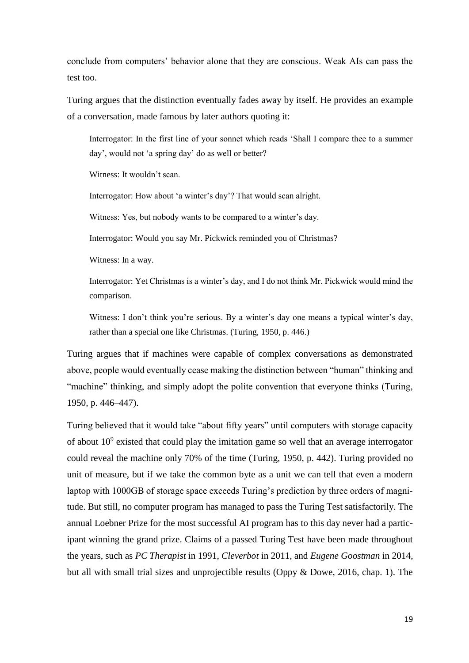conclude from computers' behavior alone that they are conscious. Weak AIs can pass the test too.

Turing argues that the distinction eventually fades away by itself. He provides an example of a conversation, made famous by later authors quoting it:

Interrogator: In the first line of your sonnet which reads 'Shall I compare thee to a summer day', would not 'a spring day' do as well or better?

Witness: It wouldn't scan.

Interrogator: How about 'a winter's day'? That would scan alright.

Witness: Yes, but nobody wants to be compared to a winter's day.

Interrogator: Would you say Mr. Pickwick reminded you of Christmas?

Witness: In a way.

Interrogator: Yet Christmas is a winter's day, and I do not think Mr. Pickwick would mind the comparison.

Witness: I don't think you're serious. By a winter's day one means a typical winter's day, rather than a special one like Christmas. (Turing, 1950, p. 446.)

Turing argues that if machines were capable of complex conversations as demonstrated above, people would eventually cease making the distinction between "human" thinking and "machine" thinking, and simply adopt the polite convention that everyone thinks (Turing, 1950, p. 446–447).

Turing believed that it would take "about fifty years" until computers with storage capacity of about  $10<sup>9</sup>$  existed that could play the imitation game so well that an average interrogator could reveal the machine only 70% of the time (Turing, 1950, p. 442). Turing provided no unit of measure, but if we take the common byte as a unit we can tell that even a modern laptop with 1000GB of storage space exceeds Turing's prediction by three orders of magnitude. But still, no computer program has managed to pass the Turing Test satisfactorily. The annual Loebner Prize for the most successful AI program has to this day never had a participant winning the grand prize. Claims of a passed Turing Test have been made throughout the years, such as *PC Therapist* in 1991, *Cleverbot* in 2011, and *Eugene Goostman* in 2014, but all with small trial sizes and unprojectible results (Oppy & Dowe, 2016, chap. 1). The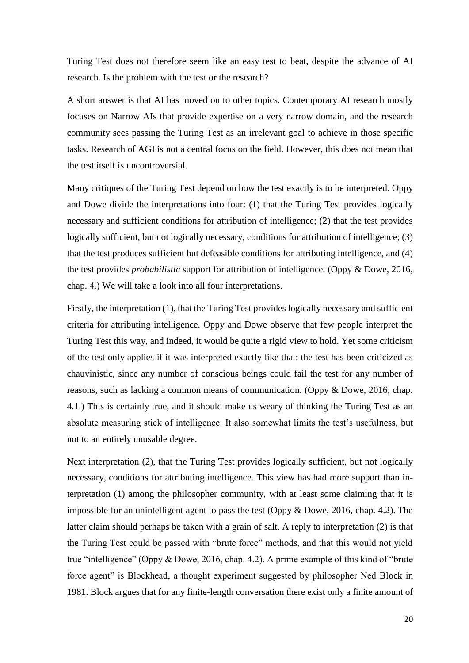Turing Test does not therefore seem like an easy test to beat, despite the advance of AI research. Is the problem with the test or the research?

A short answer is that AI has moved on to other topics. Contemporary AI research mostly focuses on Narrow AIs that provide expertise on a very narrow domain, and the research community sees passing the Turing Test as an irrelevant goal to achieve in those specific tasks. Research of AGI is not a central focus on the field. However, this does not mean that the test itself is uncontroversial.

Many critiques of the Turing Test depend on how the test exactly is to be interpreted. Oppy and Dowe divide the interpretations into four: (1) that the Turing Test provides logically necessary and sufficient conditions for attribution of intelligence; (2) that the test provides logically sufficient, but not logically necessary, conditions for attribution of intelligence; (3) that the test produces sufficient but defeasible conditions for attributing intelligence, and (4) the test provides *probabilistic* support for attribution of intelligence. (Oppy & Dowe, 2016, chap. 4.) We will take a look into all four interpretations.

Firstly, the interpretation (1), that the Turing Test provides logically necessary and sufficient criteria for attributing intelligence. Oppy and Dowe observe that few people interpret the Turing Test this way, and indeed, it would be quite a rigid view to hold. Yet some criticism of the test only applies if it was interpreted exactly like that: the test has been criticized as chauvinistic, since any number of conscious beings could fail the test for any number of reasons, such as lacking a common means of communication. (Oppy & Dowe, 2016, chap. 4.1.) This is certainly true, and it should make us weary of thinking the Turing Test as an absolute measuring stick of intelligence. It also somewhat limits the test's usefulness, but not to an entirely unusable degree.

Next interpretation (2), that the Turing Test provides logically sufficient, but not logically necessary, conditions for attributing intelligence. This view has had more support than interpretation (1) among the philosopher community, with at least some claiming that it is impossible for an unintelligent agent to pass the test (Oppy & Dowe, 2016, chap. 4.2). The latter claim should perhaps be taken with a grain of salt. A reply to interpretation (2) is that the Turing Test could be passed with "brute force" methods, and that this would not yield true "intelligence" (Oppy & Dowe, 2016, chap. 4.2). A prime example of this kind of "brute force agent" is Blockhead, a thought experiment suggested by philosopher Ned Block in 1981. Block argues that for any finite-length conversation there exist only a finite amount of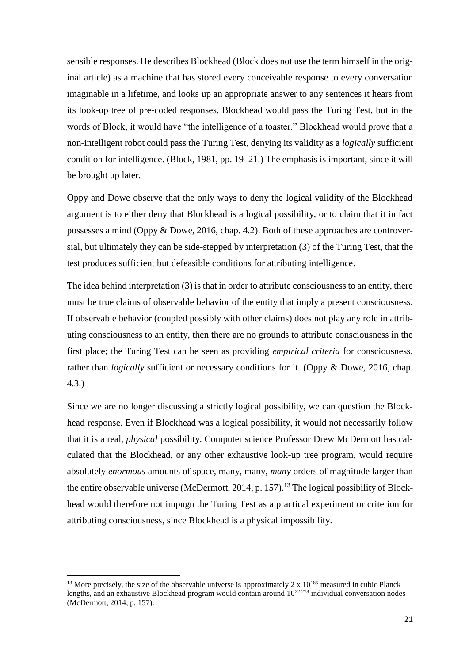sensible responses. He describes Blockhead (Block does not use the term himself in the original article) as a machine that has stored every conceivable response to every conversation imaginable in a lifetime, and looks up an appropriate answer to any sentences it hears from its look-up tree of pre-coded responses. Blockhead would pass the Turing Test, but in the words of Block, it would have "the intelligence of a toaster." Blockhead would prove that a non-intelligent robot could pass the Turing Test, denying its validity as a *logically* sufficient condition for intelligence. (Block, 1981, pp. 19–21.) The emphasis is important, since it will be brought up later.

Oppy and Dowe observe that the only ways to deny the logical validity of the Blockhead argument is to either deny that Blockhead is a logical possibility, or to claim that it in fact possesses a mind (Oppy & Dowe, 2016, chap. 4.2). Both of these approaches are controversial, but ultimately they can be side-stepped by interpretation (3) of the Turing Test, that the test produces sufficient but defeasible conditions for attributing intelligence.

The idea behind interpretation (3) is that in order to attribute consciousness to an entity, there must be true claims of observable behavior of the entity that imply a present consciousness. If observable behavior (coupled possibly with other claims) does not play any role in attributing consciousness to an entity, then there are no grounds to attribute consciousness in the first place; the Turing Test can be seen as providing *empirical criteria* for consciousness, rather than *logically* sufficient or necessary conditions for it. (Oppy & Dowe, 2016, chap. 4.3.)

Since we are no longer discussing a strictly logical possibility, we can question the Blockhead response. Even if Blockhead was a logical possibility, it would not necessarily follow that it is a real, *physical* possibility. Computer science Professor Drew McDermott has calculated that the Blockhead, or any other exhaustive look-up tree program, would require absolutely *enormous* amounts of space, many, many, *many* orders of magnitude larger than the entire observable universe (McDermott, 2014, p. 157).<sup>13</sup> The logical possibility of Blockhead would therefore not impugn the Turing Test as a practical experiment or criterion for attributing consciousness, since Blockhead is a physical impossibility.

1

<sup>&</sup>lt;sup>13</sup> More precisely, the size of the observable universe is approximately 2 x  $10^{185}$  measured in cubic Planck lengths, and an exhaustive Blockhead program would contain around  $10^{22\,278}$  individual conversation nodes (McDermott, 2014, p. 157).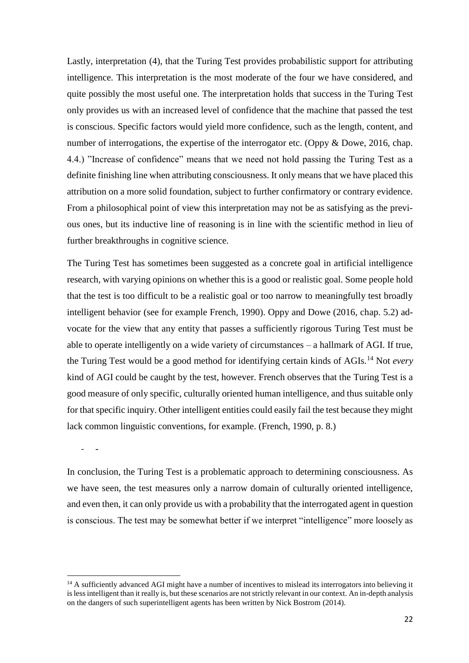Lastly, interpretation (4), that the Turing Test provides probabilistic support for attributing intelligence. This interpretation is the most moderate of the four we have considered, and quite possibly the most useful one. The interpretation holds that success in the Turing Test only provides us with an increased level of confidence that the machine that passed the test is conscious. Specific factors would yield more confidence, such as the length, content, and number of interrogations, the expertise of the interrogator etc. (Oppy & Dowe, 2016, chap. 4.4.) "Increase of confidence" means that we need not hold passing the Turing Test as a definite finishing line when attributing consciousness. It only means that we have placed this attribution on a more solid foundation, subject to further confirmatory or contrary evidence. From a philosophical point of view this interpretation may not be as satisfying as the previous ones, but its inductive line of reasoning is in line with the scientific method in lieu of further breakthroughs in cognitive science.

The Turing Test has sometimes been suggested as a concrete goal in artificial intelligence research, with varying opinions on whether this is a good or realistic goal. Some people hold that the test is too difficult to be a realistic goal or too narrow to meaningfully test broadly intelligent behavior (see for example French, 1990). Oppy and Dowe (2016, chap. 5.2) advocate for the view that any entity that passes a sufficiently rigorous Turing Test must be able to operate intelligently on a wide variety of circumstances – a hallmark of AGI. If true, the Turing Test would be a good method for identifying certain kinds of AGIs.<sup>14</sup> Not *every* kind of AGI could be caught by the test, however. French observes that the Turing Test is a good measure of only specific, culturally oriented human intelligence, and thus suitable only for that specific inquiry. Other intelligent entities could easily fail the test because they might lack common linguistic conventions, for example. (French, 1990, p. 8.)

- -

1

In conclusion, the Turing Test is a problematic approach to determining consciousness. As we have seen, the test measures only a narrow domain of culturally oriented intelligence, and even then, it can only provide us with a probability that the interrogated agent in question is conscious. The test may be somewhat better if we interpret "intelligence" more loosely as

<sup>&</sup>lt;sup>14</sup> A sufficiently advanced AGI might have a number of incentives to mislead its interrogators into believing it is less intelligent than it really is, but these scenarios are not strictly relevant in our context. An in-depth analysis on the dangers of such superintelligent agents has been written by Nick Bostrom (2014).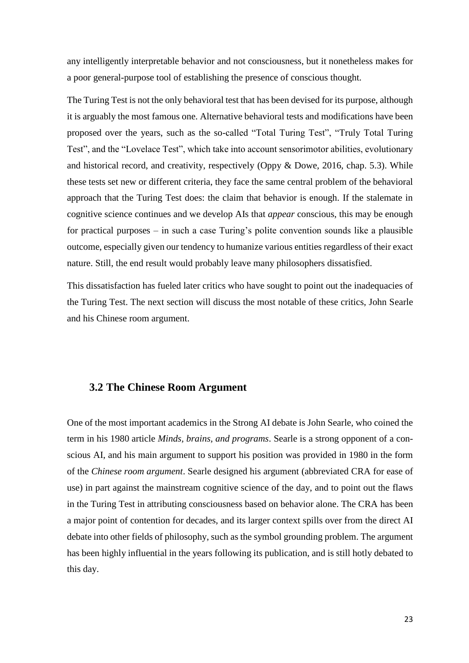any intelligently interpretable behavior and not consciousness, but it nonetheless makes for a poor general-purpose tool of establishing the presence of conscious thought.

The Turing Test is not the only behavioral test that has been devised for its purpose, although it is arguably the most famous one. Alternative behavioral tests and modifications have been proposed over the years, such as the so-called "Total Turing Test", "Truly Total Turing Test", and the "Lovelace Test", which take into account sensorimotor abilities, evolutionary and historical record, and creativity, respectively (Oppy & Dowe, 2016, chap. 5.3). While these tests set new or different criteria, they face the same central problem of the behavioral approach that the Turing Test does: the claim that behavior is enough. If the stalemate in cognitive science continues and we develop AIs that *appear* conscious, this may be enough for practical purposes – in such a case Turing's polite convention sounds like a plausible outcome, especially given our tendency to humanize various entities regardless of their exact nature. Still, the end result would probably leave many philosophers dissatisfied.

This dissatisfaction has fueled later critics who have sought to point out the inadequacies of the Turing Test. The next section will discuss the most notable of these critics, John Searle and his Chinese room argument.

#### <span id="page-25-0"></span>**3.2 The Chinese Room Argument**

One of the most important academics in the Strong AI debate is John Searle, who coined the term in his 1980 article *Minds, brains, and programs*. Searle is a strong opponent of a conscious AI, and his main argument to support his position was provided in 1980 in the form of the *Chinese room argument*. Searle designed his argument (abbreviated CRA for ease of use) in part against the mainstream cognitive science of the day, and to point out the flaws in the Turing Test in attributing consciousness based on behavior alone. The CRA has been a major point of contention for decades, and its larger context spills over from the direct AI debate into other fields of philosophy, such as the symbol grounding problem. The argument has been highly influential in the years following its publication, and is still hotly debated to this day.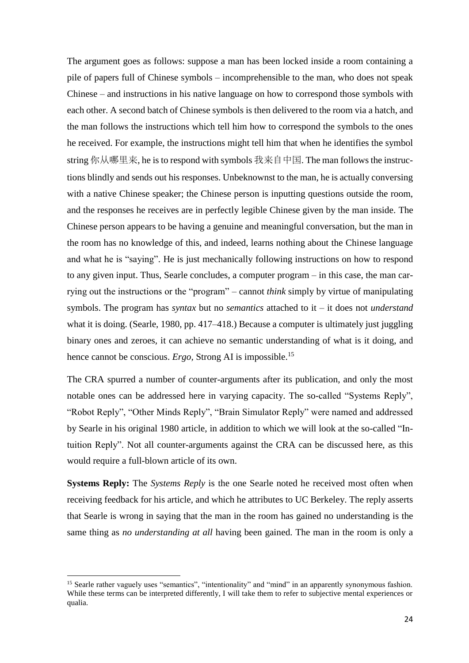The argument goes as follows: suppose a man has been locked inside a room containing a pile of papers full of Chinese symbols – incomprehensible to the man, who does not speak Chinese – and instructions in his native language on how to correspond those symbols with each other. A second batch of Chinese symbols is then delivered to the room via a hatch, and the man follows the instructions which tell him how to correspond the symbols to the ones he received. For example, the instructions might tell him that when he identifies the symbol string 你从哪里来, he is to respond with symbols 我来自中国. The man follows the instructions blindly and sends out his responses. Unbeknownst to the man, he is actually conversing with a native Chinese speaker; the Chinese person is inputting questions outside the room, and the responses he receives are in perfectly legible Chinese given by the man inside. The Chinese person appears to be having a genuine and meaningful conversation, but the man in the room has no knowledge of this, and indeed, learns nothing about the Chinese language and what he is "saying". He is just mechanically following instructions on how to respond to any given input. Thus, Searle concludes, a computer program – in this case, the man carrying out the instructions or the "program" – cannot *think* simply by virtue of manipulating symbols. The program has *syntax* but no *semantics* attached to it – it does not *understand*  what it is doing. (Searle, 1980, pp. 417–418.) Because a computer is ultimately just juggling binary ones and zeroes, it can achieve no semantic understanding of what is it doing, and hence cannot be conscious. *Ergo,* Strong AI is impossible.<sup>15</sup>

The CRA spurred a number of counter-arguments after its publication, and only the most notable ones can be addressed here in varying capacity. The so-called "Systems Reply", "Robot Reply", "Other Minds Reply", "Brain Simulator Reply" were named and addressed by Searle in his original 1980 article, in addition to which we will look at the so-called "Intuition Reply". Not all counter-arguments against the CRA can be discussed here, as this would require a full-blown article of its own.

**Systems Reply:** The *Systems Reply* is the one Searle noted he received most often when receiving feedback for his article, and which he attributes to UC Berkeley. The reply asserts that Searle is wrong in saying that the man in the room has gained no understanding is the same thing as *no understanding at all* having been gained. The man in the room is only a

1

<sup>&</sup>lt;sup>15</sup> Searle rather vaguely uses "semantics", "intentionality" and "mind" in an apparently synonymous fashion. While these terms can be interpreted differently, I will take them to refer to subjective mental experiences or qualia.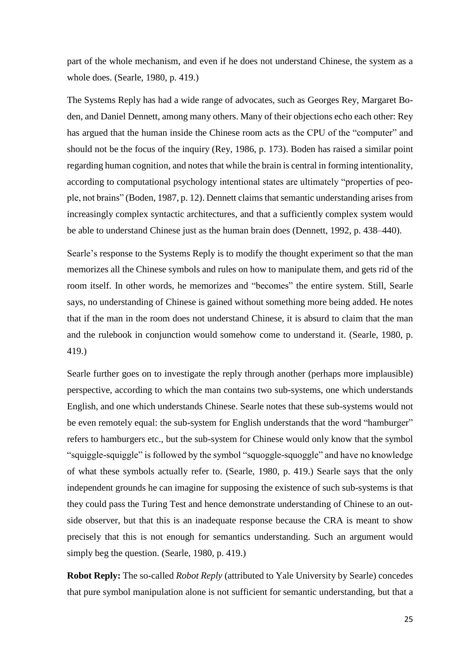part of the whole mechanism, and even if he does not understand Chinese, the system as a whole does. (Searle, 1980, p. 419.)

The Systems Reply has had a wide range of advocates, such as Georges Rey, Margaret Boden, and Daniel Dennett, among many others. Many of their objections echo each other: Rey has argued that the human inside the Chinese room acts as the CPU of the "computer" and should not be the focus of the inquiry (Rey, 1986, p. 173). Boden has raised a similar point regarding human cognition, and notes that while the brain is central in forming intentionality, according to computational psychology intentional states are ultimately "properties of people, not brains" (Boden, 1987, p. 12). Dennett claims thatsemantic understanding arises from increasingly complex syntactic architectures, and that a sufficiently complex system would be able to understand Chinese just as the human brain does (Dennett, 1992, p. 438–440).

Searle's response to the Systems Reply is to modify the thought experiment so that the man memorizes all the Chinese symbols and rules on how to manipulate them, and gets rid of the room itself. In other words, he memorizes and "becomes" the entire system. Still, Searle says, no understanding of Chinese is gained without something more being added. He notes that if the man in the room does not understand Chinese, it is absurd to claim that the man and the rulebook in conjunction would somehow come to understand it. (Searle, 1980, p. 419.)

Searle further goes on to investigate the reply through another (perhaps more implausible) perspective, according to which the man contains two sub-systems, one which understands English, and one which understands Chinese. Searle notes that these sub-systems would not be even remotely equal: the sub-system for English understands that the word "hamburger" refers to hamburgers etc., but the sub-system for Chinese would only know that the symbol "squiggle-squiggle" is followed by the symbol "squoggle-squoggle" and have no knowledge of what these symbols actually refer to. (Searle, 1980, p. 419.) Searle says that the only independent grounds he can imagine for supposing the existence of such sub-systems is that they could pass the Turing Test and hence demonstrate understanding of Chinese to an outside observer, but that this is an inadequate response because the CRA is meant to show precisely that this is not enough for semantics understanding. Such an argument would simply beg the question. (Searle, 1980, p. 419.)

**Robot Reply:** The so-called *Robot Reply* (attributed to Yale University by Searle) concedes that pure symbol manipulation alone is not sufficient for semantic understanding, but that a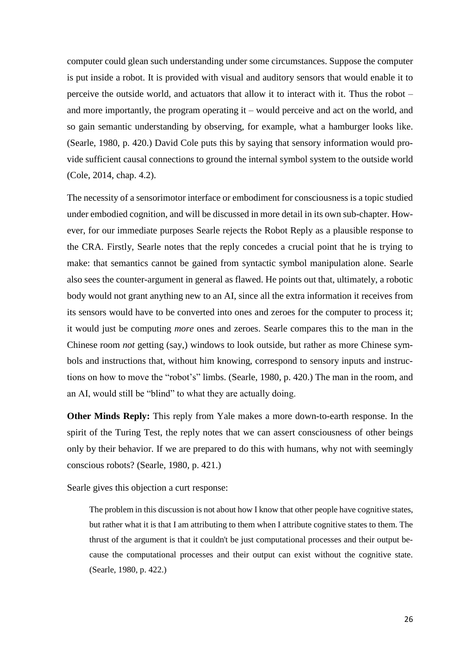computer could glean such understanding under some circumstances. Suppose the computer is put inside a robot. It is provided with visual and auditory sensors that would enable it to perceive the outside world, and actuators that allow it to interact with it. Thus the robot – and more importantly, the program operating it – would perceive and act on the world, and so gain semantic understanding by observing, for example, what a hamburger looks like. (Searle, 1980, p. 420.) David Cole puts this by saying that sensory information would provide sufficient causal connections to ground the internal symbol system to the outside world (Cole, 2014, chap. 4.2).

The necessity of a sensorimotor interface or embodiment for consciousness is a topic studied under embodied cognition, and will be discussed in more detail in its own sub-chapter. However, for our immediate purposes Searle rejects the Robot Reply as a plausible response to the CRA. Firstly, Searle notes that the reply concedes a crucial point that he is trying to make: that semantics cannot be gained from syntactic symbol manipulation alone. Searle also sees the counter-argument in general as flawed. He points out that, ultimately, a robotic body would not grant anything new to an AI, since all the extra information it receives from its sensors would have to be converted into ones and zeroes for the computer to process it; it would just be computing *more* ones and zeroes. Searle compares this to the man in the Chinese room *not* getting (say,) windows to look outside, but rather as more Chinese symbols and instructions that, without him knowing, correspond to sensory inputs and instructions on how to move the "robot's" limbs. (Searle, 1980, p. 420.) The man in the room, and an AI, would still be "blind" to what they are actually doing.

**Other Minds Reply:** This reply from Yale makes a more down-to-earth response. In the spirit of the Turing Test, the reply notes that we can assert consciousness of other beings only by their behavior. If we are prepared to do this with humans, why not with seemingly conscious robots? (Searle, 1980, p. 421.)

Searle gives this objection a curt response:

The problem in this discussion is not about how I know that other people have cognitive states, but rather what it is that I am attributing to them when I attribute cognitive states to them. The thrust of the argument is that it couldn't be just computational processes and their output because the computational processes and their output can exist without the cognitive state. (Searle, 1980, p. 422.)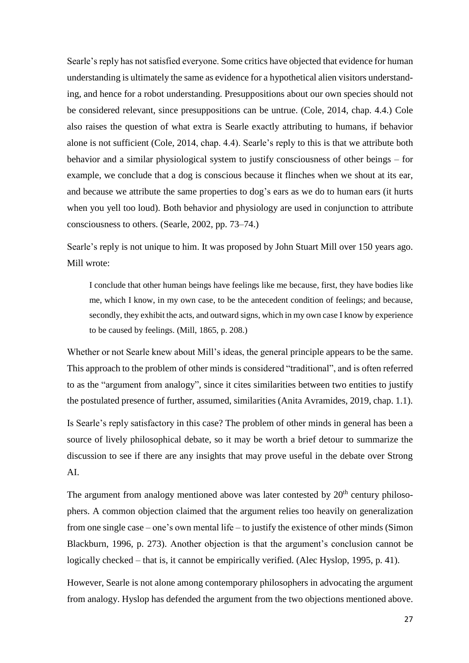Searle's reply has not satisfied everyone. Some critics have objected that evidence for human understanding is ultimately the same as evidence for a hypothetical alien visitors understanding, and hence for a robot understanding. Presuppositions about our own species should not be considered relevant, since presuppositions can be untrue. (Cole, 2014, chap. 4.4.) Cole also raises the question of what extra is Searle exactly attributing to humans, if behavior alone is not sufficient (Cole, 2014, chap. 4.4). Searle's reply to this is that we attribute both behavior and a similar physiological system to justify consciousness of other beings – for example, we conclude that a dog is conscious because it flinches when we shout at its ear, and because we attribute the same properties to dog's ears as we do to human ears (it hurts when you yell too loud). Both behavior and physiology are used in conjunction to attribute consciousness to others. (Searle, 2002, pp. 73–74.)

Searle's reply is not unique to him. It was proposed by John Stuart Mill over 150 years ago. Mill wrote:

I conclude that other human beings have feelings like me because, first, they have bodies like me, which I know, in my own case, to be the antecedent condition of feelings; and because, secondly, they exhibit the acts, and outward signs, which in my own case I know by experience to be caused by feelings. (Mill, 1865, p. 208.)

Whether or not Searle knew about Mill's ideas, the general principle appears to be the same. This approach to the problem of other minds is considered "traditional", and is often referred to as the "argument from analogy", since it cites similarities between two entities to justify the postulated presence of further, assumed, similarities (Anita Avramides, 2019, chap. 1.1).

Is Searle's reply satisfactory in this case? The problem of other minds in general has been a source of lively philosophical debate, so it may be worth a brief detour to summarize the discussion to see if there are any insights that may prove useful in the debate over Strong AI.

The argument from analogy mentioned above was later contested by  $20<sup>th</sup>$  century philosophers. A common objection claimed that the argument relies too heavily on generalization from one single case – one's own mental life – to justify the existence of other minds (Simon Blackburn, 1996, p. 273). Another objection is that the argument's conclusion cannot be logically checked – that is, it cannot be empirically verified. (Alec Hyslop, 1995, p. 41).

However, Searle is not alone among contemporary philosophers in advocating the argument from analogy. Hyslop has defended the argument from the two objections mentioned above.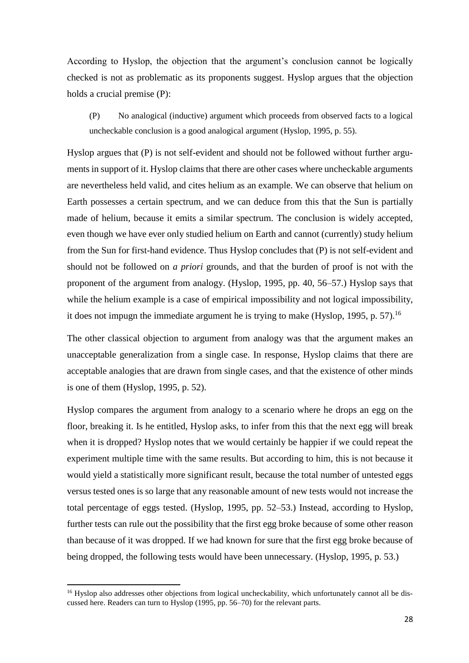According to Hyslop, the objection that the argument's conclusion cannot be logically checked is not as problematic as its proponents suggest. Hyslop argues that the objection holds a crucial premise (P):

(P) No analogical (inductive) argument which proceeds from observed facts to a logical uncheckable conclusion is a good analogical argument (Hyslop, 1995, p. 55).

Hyslop argues that (P) is not self-evident and should not be followed without further arguments in support of it. Hyslop claims that there are other cases where uncheckable arguments are nevertheless held valid, and cites helium as an example. We can observe that helium on Earth possesses a certain spectrum, and we can deduce from this that the Sun is partially made of helium, because it emits a similar spectrum. The conclusion is widely accepted, even though we have ever only studied helium on Earth and cannot (currently) study helium from the Sun for first-hand evidence. Thus Hyslop concludes that (P) is not self-evident and should not be followed on *a priori* grounds, and that the burden of proof is not with the proponent of the argument from analogy. (Hyslop, 1995, pp. 40, 56–57.) Hyslop says that while the helium example is a case of empirical impossibility and not logical impossibility, it does not impugn the immediate argument he is trying to make (Hyslop, 1995, p. 57).<sup>16</sup>

The other classical objection to argument from analogy was that the argument makes an unacceptable generalization from a single case. In response, Hyslop claims that there are acceptable analogies that are drawn from single cases, and that the existence of other minds is one of them (Hyslop, 1995, p. 52).

Hyslop compares the argument from analogy to a scenario where he drops an egg on the floor, breaking it. Is he entitled, Hyslop asks, to infer from this that the next egg will break when it is dropped? Hyslop notes that we would certainly be happier if we could repeat the experiment multiple time with the same results. But according to him, this is not because it would yield a statistically more significant result, because the total number of untested eggs versus tested ones is so large that any reasonable amount of new tests would not increase the total percentage of eggs tested. (Hyslop, 1995, pp. 52–53.) Instead, according to Hyslop, further tests can rule out the possibility that the first egg broke because of some other reason than because of it was dropped. If we had known for sure that the first egg broke because of being dropped, the following tests would have been unnecessary. (Hyslop, 1995, p. 53.)

**.** 

<sup>&</sup>lt;sup>16</sup> Hyslop also addresses other objections from logical uncheckability, which unfortunately cannot all be discussed here. Readers can turn to Hyslop (1995, pp. 56–70) for the relevant parts.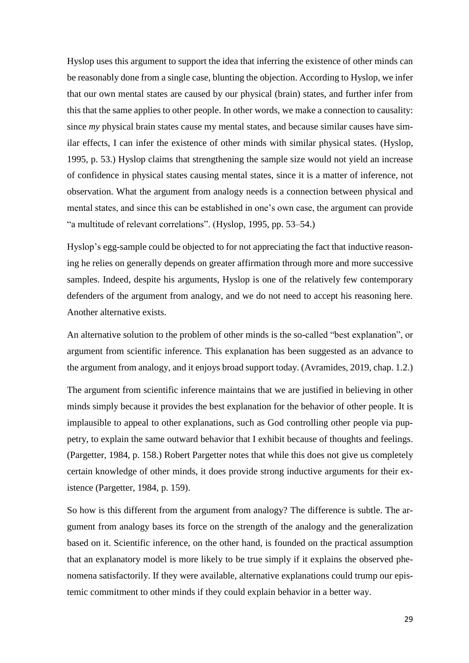Hyslop uses this argument to support the idea that inferring the existence of other minds can be reasonably done from a single case, blunting the objection. According to Hyslop, we infer that our own mental states are caused by our physical (brain) states, and further infer from this that the same applies to other people. In other words, we make a connection to causality: since *my* physical brain states cause my mental states, and because similar causes have similar effects, I can infer the existence of other minds with similar physical states. (Hyslop, 1995, p. 53.) Hyslop claims that strengthening the sample size would not yield an increase of confidence in physical states causing mental states, since it is a matter of inference, not observation. What the argument from analogy needs is a connection between physical and mental states, and since this can be established in one's own case, the argument can provide "a multitude of relevant correlations". (Hyslop, 1995, pp. 53–54.)

Hyslop's egg-sample could be objected to for not appreciating the fact that inductive reasoning he relies on generally depends on greater affirmation through more and more successive samples. Indeed, despite his arguments, Hyslop is one of the relatively few contemporary defenders of the argument from analogy, and we do not need to accept his reasoning here. Another alternative exists.

An alternative solution to the problem of other minds is the so-called "best explanation", or argument from scientific inference. This explanation has been suggested as an advance to the argument from analogy, and it enjoys broad support today. (Avramides, 2019, chap. 1.2.)

The argument from scientific inference maintains that we are justified in believing in other minds simply because it provides the best explanation for the behavior of other people. It is implausible to appeal to other explanations, such as God controlling other people via puppetry, to explain the same outward behavior that I exhibit because of thoughts and feelings. (Pargetter, 1984, p. 158.) Robert Pargetter notes that while this does not give us completely certain knowledge of other minds, it does provide strong inductive arguments for their existence (Pargetter, 1984, p. 159).

So how is this different from the argument from analogy? The difference is subtle. The argument from analogy bases its force on the strength of the analogy and the generalization based on it. Scientific inference, on the other hand, is founded on the practical assumption that an explanatory model is more likely to be true simply if it explains the observed phenomena satisfactorily. If they were available, alternative explanations could trump our epistemic commitment to other minds if they could explain behavior in a better way.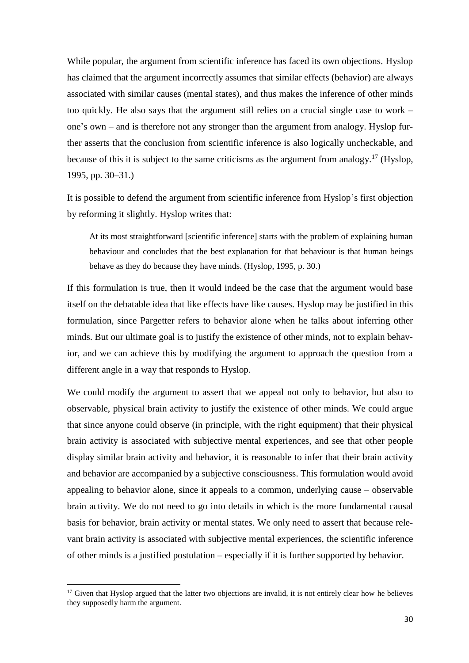While popular, the argument from scientific inference has faced its own objections. Hyslop has claimed that the argument incorrectly assumes that similar effects (behavior) are always associated with similar causes (mental states), and thus makes the inference of other minds too quickly. He also says that the argument still relies on a crucial single case to work – one's own – and is therefore not any stronger than the argument from analogy. Hyslop further asserts that the conclusion from scientific inference is also logically uncheckable, and because of this it is subject to the same criticisms as the argument from analogy.<sup>17</sup> (Hyslop, 1995, pp. 30–31.)

It is possible to defend the argument from scientific inference from Hyslop's first objection by reforming it slightly. Hyslop writes that:

At its most straightforward [scientific inference] starts with the problem of explaining human behaviour and concludes that the best explanation for that behaviour is that human beings behave as they do because they have minds. (Hyslop, 1995, p. 30.)

If this formulation is true, then it would indeed be the case that the argument would base itself on the debatable idea that like effects have like causes. Hyslop may be justified in this formulation, since Pargetter refers to behavior alone when he talks about inferring other minds. But our ultimate goal is to justify the existence of other minds, not to explain behavior, and we can achieve this by modifying the argument to approach the question from a different angle in a way that responds to Hyslop.

We could modify the argument to assert that we appeal not only to behavior, but also to observable, physical brain activity to justify the existence of other minds. We could argue that since anyone could observe (in principle, with the right equipment) that their physical brain activity is associated with subjective mental experiences, and see that other people display similar brain activity and behavior, it is reasonable to infer that their brain activity and behavior are accompanied by a subjective consciousness. This formulation would avoid appealing to behavior alone, since it appeals to a common, underlying cause – observable brain activity. We do not need to go into details in which is the more fundamental causal basis for behavior, brain activity or mental states. We only need to assert that because relevant brain activity is associated with subjective mental experiences, the scientific inference of other minds is a justified postulation – especially if it is further supported by behavior.

**.** 

 $17$  Given that Hyslop argued that the latter two objections are invalid, it is not entirely clear how he believes they supposedly harm the argument.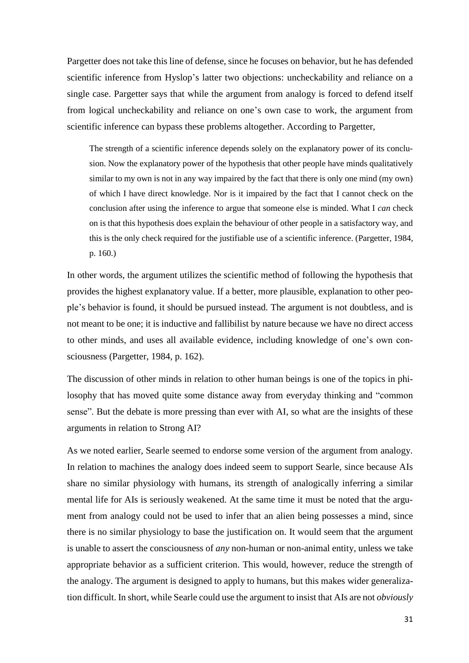Pargetter does not take this line of defense, since he focuses on behavior, but he has defended scientific inference from Hyslop's latter two objections: uncheckability and reliance on a single case. Pargetter says that while the argument from analogy is forced to defend itself from logical uncheckability and reliance on one's own case to work, the argument from scientific inference can bypass these problems altogether. According to Pargetter,

The strength of a scientific inference depends solely on the explanatory power of its conclusion. Now the explanatory power of the hypothesis that other people have minds qualitatively similar to my own is not in any way impaired by the fact that there is only one mind (my own) of which I have direct knowledge. Nor is it impaired by the fact that I cannot check on the conclusion after using the inference to argue that someone else is minded. What I *can* check on is that this hypothesis does explain the behaviour of other people in a satisfactory way, and this is the only check required for the justifiable use of a scientific inference. (Pargetter, 1984, p. 160.)

In other words, the argument utilizes the scientific method of following the hypothesis that provides the highest explanatory value. If a better, more plausible, explanation to other people's behavior is found, it should be pursued instead. The argument is not doubtless, and is not meant to be one; it is inductive and fallibilist by nature because we have no direct access to other minds, and uses all available evidence, including knowledge of one's own consciousness (Pargetter, 1984, p. 162).

The discussion of other minds in relation to other human beings is one of the topics in philosophy that has moved quite some distance away from everyday thinking and "common sense". But the debate is more pressing than ever with AI, so what are the insights of these arguments in relation to Strong AI?

As we noted earlier, Searle seemed to endorse some version of the argument from analogy. In relation to machines the analogy does indeed seem to support Searle, since because AIs share no similar physiology with humans, its strength of analogically inferring a similar mental life for AIs is seriously weakened. At the same time it must be noted that the argument from analogy could not be used to infer that an alien being possesses a mind, since there is no similar physiology to base the justification on. It would seem that the argument is unable to assert the consciousness of *any* non-human or non-animal entity, unless we take appropriate behavior as a sufficient criterion. This would, however, reduce the strength of the analogy. The argument is designed to apply to humans, but this makes wider generalization difficult. In short, while Searle could use the argument to insist that AIs are not *obviously*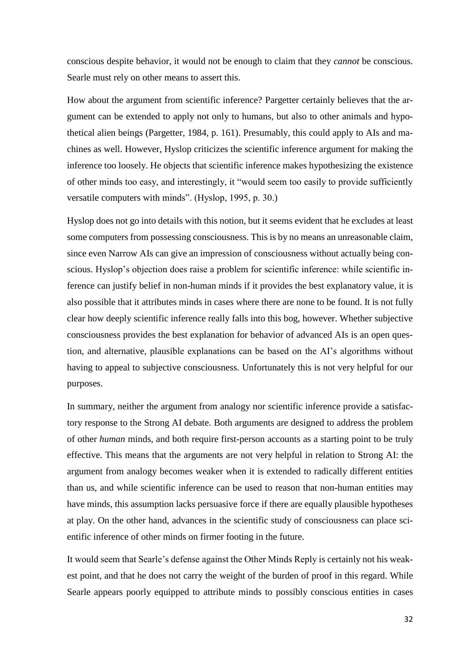conscious despite behavior, it would not be enough to claim that they *cannot* be conscious. Searle must rely on other means to assert this.

How about the argument from scientific inference? Pargetter certainly believes that the argument can be extended to apply not only to humans, but also to other animals and hypothetical alien beings (Pargetter, 1984, p. 161). Presumably, this could apply to AIs and machines as well. However, Hyslop criticizes the scientific inference argument for making the inference too loosely. He objects that scientific inference makes hypothesizing the existence of other minds too easy, and interestingly, it "would seem too easily to provide sufficiently versatile computers with minds". (Hyslop, 1995, p. 30.)

Hyslop does not go into details with this notion, but it seems evident that he excludes at least some computers from possessing consciousness. This is by no means an unreasonable claim, since even Narrow AIs can give an impression of consciousness without actually being conscious. Hyslop's objection does raise a problem for scientific inference: while scientific inference can justify belief in non-human minds if it provides the best explanatory value, it is also possible that it attributes minds in cases where there are none to be found. It is not fully clear how deeply scientific inference really falls into this bog, however. Whether subjective consciousness provides the best explanation for behavior of advanced AIs is an open question, and alternative, plausible explanations can be based on the AI's algorithms without having to appeal to subjective consciousness. Unfortunately this is not very helpful for our purposes.

In summary, neither the argument from analogy nor scientific inference provide a satisfactory response to the Strong AI debate. Both arguments are designed to address the problem of other *human* minds, and both require first-person accounts as a starting point to be truly effective. This means that the arguments are not very helpful in relation to Strong AI: the argument from analogy becomes weaker when it is extended to radically different entities than us, and while scientific inference can be used to reason that non-human entities may have minds, this assumption lacks persuasive force if there are equally plausible hypotheses at play. On the other hand, advances in the scientific study of consciousness can place scientific inference of other minds on firmer footing in the future.

It would seem that Searle's defense against the Other Minds Reply is certainly not his weakest point, and that he does not carry the weight of the burden of proof in this regard. While Searle appears poorly equipped to attribute minds to possibly conscious entities in cases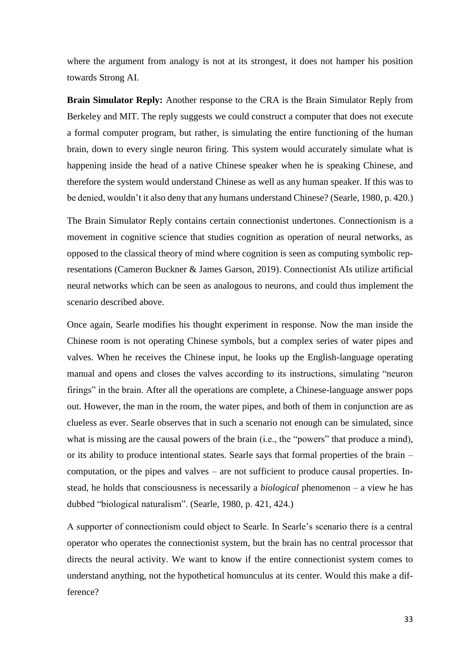where the argument from analogy is not at its strongest, it does not hamper his position towards Strong AI.

**Brain Simulator Reply:** Another response to the CRA is the Brain Simulator Reply from Berkeley and MIT. The reply suggests we could construct a computer that does not execute a formal computer program, but rather, is simulating the entire functioning of the human brain, down to every single neuron firing. This system would accurately simulate what is happening inside the head of a native Chinese speaker when he is speaking Chinese, and therefore the system would understand Chinese as well as any human speaker. If this was to be denied, wouldn't it also deny that any humans understand Chinese? (Searle, 1980, p. 420.)

The Brain Simulator Reply contains certain connectionist undertones. Connectionism is a movement in cognitive science that studies cognition as operation of neural networks, as opposed to the classical theory of mind where cognition is seen as computing symbolic representations (Cameron Buckner & James Garson, 2019). Connectionist AIs utilize artificial neural networks which can be seen as analogous to neurons, and could thus implement the scenario described above.

Once again, Searle modifies his thought experiment in response. Now the man inside the Chinese room is not operating Chinese symbols, but a complex series of water pipes and valves. When he receives the Chinese input, he looks up the English-language operating manual and opens and closes the valves according to its instructions, simulating "neuron firings" in the brain. After all the operations are complete, a Chinese-language answer pops out. However, the man in the room, the water pipes, and both of them in conjunction are as clueless as ever. Searle observes that in such a scenario not enough can be simulated, since what is missing are the causal powers of the brain (i.e., the "powers" that produce a mind), or its ability to produce intentional states. Searle says that formal properties of the brain – computation, or the pipes and valves – are not sufficient to produce causal properties. Instead, he holds that consciousness is necessarily a *biological* phenomenon – a view he has dubbed "biological naturalism". (Searle, 1980, p. 421, 424.)

A supporter of connectionism could object to Searle. In Searle's scenario there is a central operator who operates the connectionist system, but the brain has no central processor that directs the neural activity. We want to know if the entire connectionist system comes to understand anything, not the hypothetical homunculus at its center. Would this make a difference?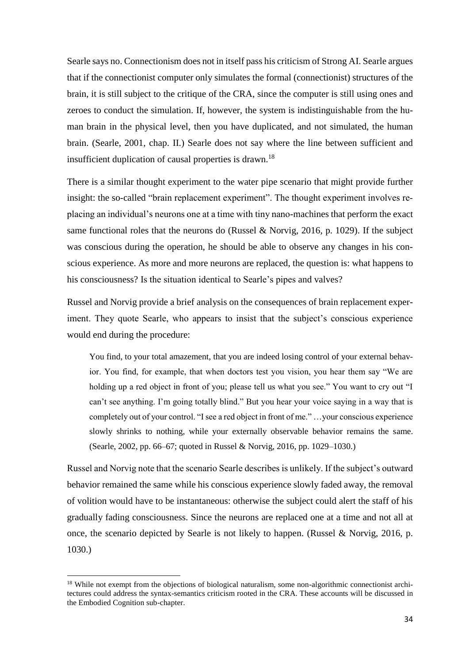Searle says no. Connectionism does not in itself pass his criticism of Strong AI. Searle argues that if the connectionist computer only simulates the formal (connectionist) structures of the brain, it is still subject to the critique of the CRA, since the computer is still using ones and zeroes to conduct the simulation. If, however, the system is indistinguishable from the human brain in the physical level, then you have duplicated, and not simulated, the human brain. (Searle, 2001, chap. II.) Searle does not say where the line between sufficient and insufficient duplication of causal properties is drawn.<sup>18</sup>

There is a similar thought experiment to the water pipe scenario that might provide further insight: the so-called "brain replacement experiment". The thought experiment involves replacing an individual's neurons one at a time with tiny nano-machines that perform the exact same functional roles that the neurons do (Russel & Norvig, 2016, p. 1029). If the subject was conscious during the operation, he should be able to observe any changes in his conscious experience. As more and more neurons are replaced, the question is: what happens to his consciousness? Is the situation identical to Searle's pipes and valves?

Russel and Norvig provide a brief analysis on the consequences of brain replacement experiment. They quote Searle, who appears to insist that the subject's conscious experience would end during the procedure:

You find, to your total amazement, that you are indeed losing control of your external behavior. You find, for example, that when doctors test you vision, you hear them say "We are holding up a red object in front of you; please tell us what you see." You want to cry out "I can't see anything. I'm going totally blind." But you hear your voice saying in a way that is completely out of your control. "I see a red object in front of me." …your conscious experience slowly shrinks to nothing, while your externally observable behavior remains the same. (Searle, 2002, pp. 66–67; quoted in Russel & Norvig, 2016, pp. 1029–1030.)

Russel and Norvig note that the scenario Searle describes is unlikely. If the subject's outward behavior remained the same while his conscious experience slowly faded away, the removal of volition would have to be instantaneous: otherwise the subject could alert the staff of his gradually fading consciousness. Since the neurons are replaced one at a time and not all at once, the scenario depicted by Searle is not likely to happen. (Russel & Norvig, 2016, p. 1030.)

1

<sup>&</sup>lt;sup>18</sup> While not exempt from the objections of biological naturalism, some non-algorithmic connectionist architectures could address the syntax-semantics criticism rooted in the CRA. These accounts will be discussed in the Embodied Cognition sub-chapter.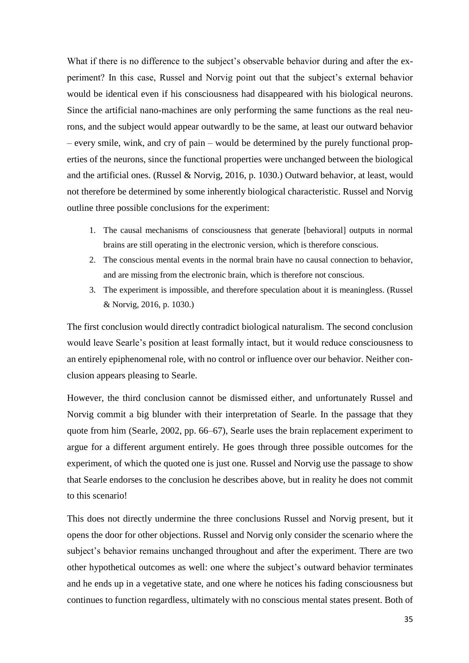What if there is no difference to the subject's observable behavior during and after the experiment? In this case, Russel and Norvig point out that the subject's external behavior would be identical even if his consciousness had disappeared with his biological neurons. Since the artificial nano-machines are only performing the same functions as the real neurons, and the subject would appear outwardly to be the same, at least our outward behavior – every smile, wink, and cry of pain – would be determined by the purely functional properties of the neurons, since the functional properties were unchanged between the biological and the artificial ones. (Russel & Norvig, 2016, p. 1030.) Outward behavior, at least, would not therefore be determined by some inherently biological characteristic. Russel and Norvig outline three possible conclusions for the experiment:

- 1. The causal mechanisms of consciousness that generate [behavioral] outputs in normal brains are still operating in the electronic version, which is therefore conscious.
- 2. The conscious mental events in the normal brain have no causal connection to behavior, and are missing from the electronic brain, which is therefore not conscious.
- 3. The experiment is impossible, and therefore speculation about it is meaningless. (Russel & Norvig, 2016, p. 1030.)

The first conclusion would directly contradict biological naturalism. The second conclusion would leave Searle's position at least formally intact, but it would reduce consciousness to an entirely epiphenomenal role, with no control or influence over our behavior. Neither conclusion appears pleasing to Searle.

However, the third conclusion cannot be dismissed either, and unfortunately Russel and Norvig commit a big blunder with their interpretation of Searle. In the passage that they quote from him (Searle, 2002, pp. 66–67), Searle uses the brain replacement experiment to argue for a different argument entirely. He goes through three possible outcomes for the experiment, of which the quoted one is just one. Russel and Norvig use the passage to show that Searle endorses to the conclusion he describes above, but in reality he does not commit to this scenario!

This does not directly undermine the three conclusions Russel and Norvig present, but it opens the door for other objections. Russel and Norvig only consider the scenario where the subject's behavior remains unchanged throughout and after the experiment. There are two other hypothetical outcomes as well: one where the subject's outward behavior terminates and he ends up in a vegetative state, and one where he notices his fading consciousness but continues to function regardless, ultimately with no conscious mental states present. Both of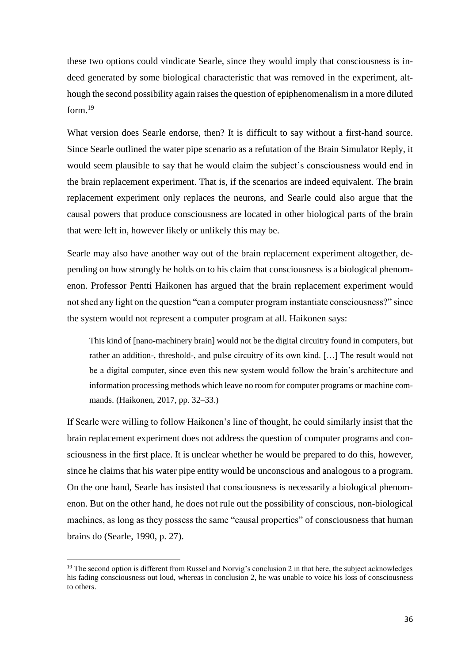these two options could vindicate Searle, since they would imply that consciousness is indeed generated by some biological characteristic that was removed in the experiment, although the second possibility again raises the question of epiphenomenalism in a more diluted form. 19

What version does Searle endorse, then? It is difficult to say without a first-hand source. Since Searle outlined the water pipe scenario as a refutation of the Brain Simulator Reply, it would seem plausible to say that he would claim the subject's consciousness would end in the brain replacement experiment. That is, if the scenarios are indeed equivalent. The brain replacement experiment only replaces the neurons, and Searle could also argue that the causal powers that produce consciousness are located in other biological parts of the brain that were left in, however likely or unlikely this may be.

Searle may also have another way out of the brain replacement experiment altogether, depending on how strongly he holds on to his claim that consciousness is a biological phenomenon. Professor Pentti Haikonen has argued that the brain replacement experiment would not shed any light on the question "can a computer program instantiate consciousness?" since the system would not represent a computer program at all. Haikonen says:

This kind of [nano-machinery brain] would not be the digital circuitry found in computers, but rather an addition-, threshold-, and pulse circuitry of its own kind. […] The result would not be a digital computer, since even this new system would follow the brain's architecture and information processing methods which leave no room for computer programs or machine commands. (Haikonen, 2017, pp. 32–33.)

If Searle were willing to follow Haikonen's line of thought, he could similarly insist that the brain replacement experiment does not address the question of computer programs and consciousness in the first place. It is unclear whether he would be prepared to do this, however, since he claims that his water pipe entity would be unconscious and analogous to a program. On the one hand, Searle has insisted that consciousness is necessarily a biological phenomenon. But on the other hand, he does not rule out the possibility of conscious, non-biological machines, as long as they possess the same "causal properties" of consciousness that human brains do (Searle, 1990, p. 27).

1

<sup>&</sup>lt;sup>19</sup> The second option is different from Russel and Norvig's conclusion 2 in that here, the subject acknowledges his fading consciousness out loud, whereas in conclusion 2, he was unable to voice his loss of consciousness to others.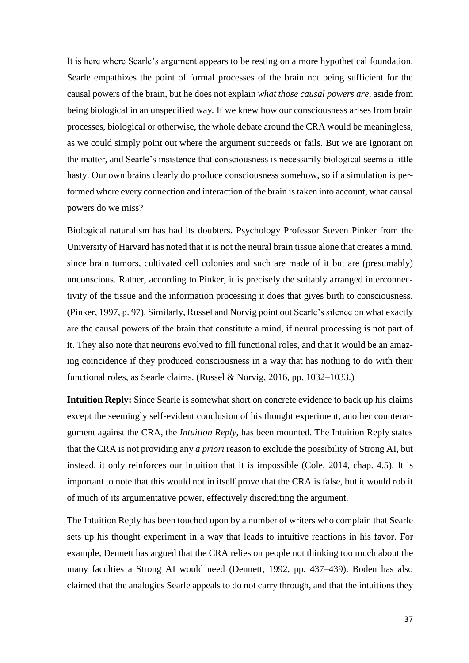It is here where Searle's argument appears to be resting on a more hypothetical foundation. Searle empathizes the point of formal processes of the brain not being sufficient for the causal powers of the brain, but he does not explain *what those causal powers are*, aside from being biological in an unspecified way*.* If we knew how our consciousness arises from brain processes, biological or otherwise, the whole debate around the CRA would be meaningless, as we could simply point out where the argument succeeds or fails. But we are ignorant on the matter, and Searle's insistence that consciousness is necessarily biological seems a little hasty. Our own brains clearly do produce consciousness somehow, so if a simulation is performed where every connection and interaction of the brain is taken into account, what causal powers do we miss?

Biological naturalism has had its doubters. Psychology Professor Steven Pinker from the University of Harvard has noted that it is not the neural brain tissue alone that creates a mind, since brain tumors, cultivated cell colonies and such are made of it but are (presumably) unconscious. Rather, according to Pinker, it is precisely the suitably arranged interconnectivity of the tissue and the information processing it does that gives birth to consciousness. (Pinker, 1997, p. 97). Similarly, Russel and Norvig point out Searle's silence on what exactly are the causal powers of the brain that constitute a mind, if neural processing is not part of it. They also note that neurons evolved to fill functional roles, and that it would be an amazing coincidence if they produced consciousness in a way that has nothing to do with their functional roles, as Searle claims. (Russel & Norvig, 2016, pp. 1032–1033.)

**Intuition Reply:** Since Searle is somewhat short on concrete evidence to back up his claims except the seemingly self-evident conclusion of his thought experiment, another counterargument against the CRA, the *Intuition Reply*, has been mounted. The Intuition Reply states that the CRA is not providing any *a priori* reason to exclude the possibility of Strong AI, but instead, it only reinforces our intuition that it is impossible (Cole, 2014, chap. 4.5). It is important to note that this would not in itself prove that the CRA is false, but it would rob it of much of its argumentative power, effectively discrediting the argument.

The Intuition Reply has been touched upon by a number of writers who complain that Searle sets up his thought experiment in a way that leads to intuitive reactions in his favor. For example, Dennett has argued that the CRA relies on people not thinking too much about the many faculties a Strong AI would need (Dennett, 1992, pp. 437–439). Boden has also claimed that the analogies Searle appeals to do not carry through, and that the intuitions they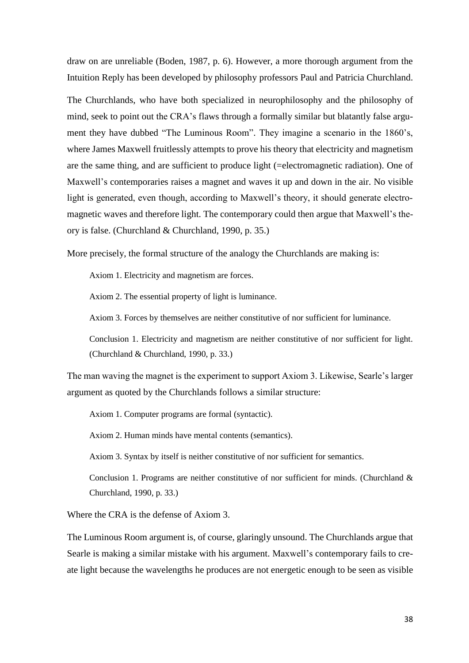draw on are unreliable (Boden, 1987, p. 6). However, a more thorough argument from the Intuition Reply has been developed by philosophy professors Paul and Patricia Churchland.

The Churchlands, who have both specialized in neurophilosophy and the philosophy of mind, seek to point out the CRA's flaws through a formally similar but blatantly false argument they have dubbed "The Luminous Room". They imagine a scenario in the 1860's, where James Maxwell fruitlessly attempts to prove his theory that electricity and magnetism are the same thing, and are sufficient to produce light (=electromagnetic radiation). One of Maxwell's contemporaries raises a magnet and waves it up and down in the air. No visible light is generated, even though, according to Maxwell's theory, it should generate electromagnetic waves and therefore light. The contemporary could then argue that Maxwell's theory is false. (Churchland & Churchland, 1990, p. 35.)

More precisely, the formal structure of the analogy the Churchlands are making is:

Axiom 1. Electricity and magnetism are forces.

Axiom 2. The essential property of light is luminance.

Axiom 3. Forces by themselves are neither constitutive of nor sufficient for luminance.

Conclusion 1. Electricity and magnetism are neither constitutive of nor sufficient for light. (Churchland & Churchland, 1990, p. 33.)

The man waving the magnet is the experiment to support Axiom 3. Likewise, Searle's larger argument as quoted by the Churchlands follows a similar structure:

Axiom 1. Computer programs are formal (syntactic).

Axiom 2. Human minds have mental contents (semantics).

Axiom 3. Syntax by itself is neither constitutive of nor sufficient for semantics.

Conclusion 1. Programs are neither constitutive of nor sufficient for minds. (Churchland & Churchland, 1990, p. 33.)

Where the CRA is the defense of Axiom 3.

The Luminous Room argument is, of course, glaringly unsound. The Churchlands argue that Searle is making a similar mistake with his argument. Maxwell's contemporary fails to create light because the wavelengths he produces are not energetic enough to be seen as visible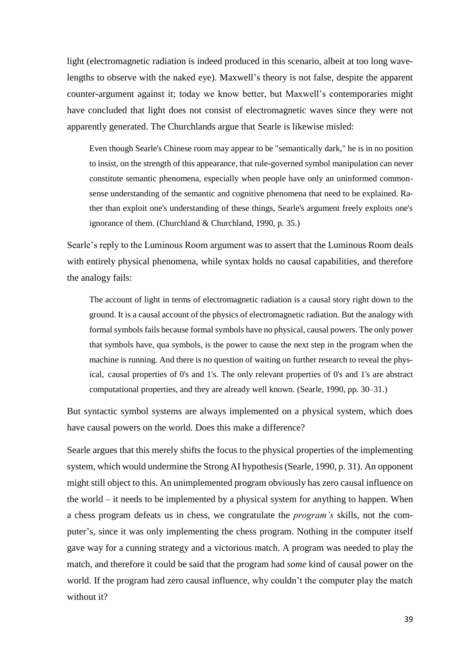light (electromagnetic radiation is indeed produced in this scenario, albeit at too long wavelengths to observe with the naked eye). Maxwell's theory is not false, despite the apparent counter-argument against it; today we know better, but Maxwell's contemporaries might have concluded that light does not consist of electromagnetic waves since they were not apparently generated. The Churchlands argue that Searle is likewise misled:

Even though Searle's Chinese room may appear to be "semantically dark," he is in no position to insist, on the strength of this appearance, that rule-governed symbol manipulation can never constitute semantic phenomena, especially when people have only an uninformed commonsense understanding of the semantic and cognitive phenomena that need to be explained. Rather than exploit one's understanding of these things, Searle's argument freely exploits one's ignorance of them. (Churchland & Churchland, 1990, p. 35.)

Searle's reply to the Luminous Room argument was to assert that the Luminous Room deals with entirely physical phenomena, while syntax holds no causal capabilities, and therefore the analogy fails:

The account of light in terms of electromagnetic radiation is a causal story right down to the ground. It is a causal account of the physics of electromagnetic radiation. But the analogy with formal symbols fails because formal symbols have no physical, causal powers. The only power that symbols have, qua symbols, is the power to cause the next step in the program when the machine is running. And there is no question of waiting on further research to reveal the physical, causal properties of 0's and 1's. The only relevant properties of 0's and 1's are abstract computational properties, and they are already well known. (Searle, 1990, pp. 30–31.)

But syntactic symbol systems are always implemented on a physical system, which does have causal powers on the world. Does this make a difference?

Searle argues that this merely shifts the focus to the physical properties of the implementing system, which would undermine the Strong AI hypothesis (Searle, 1990, p. 31). An opponent might still object to this. An unimplemented program obviously has zero causal influence on the world – it needs to be implemented by a physical system for anything to happen. When a chess program defeats us in chess, we congratulate the *program's* skills, not the computer's, since it was only implementing the chess program. Nothing in the computer itself gave way for a cunning strategy and a victorious match. A program was needed to play the match, and therefore it could be said that the program had *some* kind of causal power on the world. If the program had zero causal influence, why couldn't the computer play the match without it?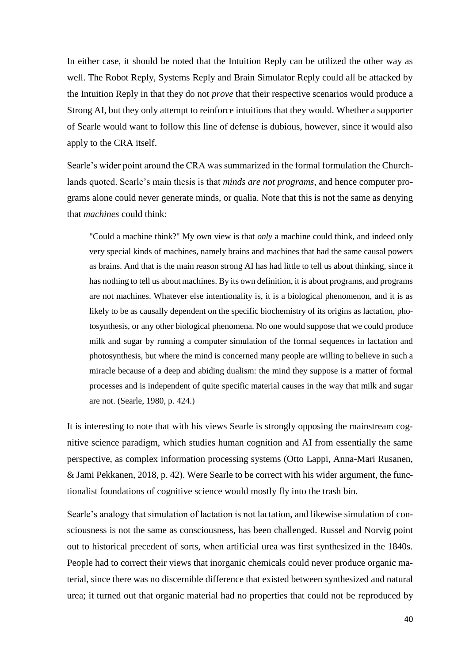In either case, it should be noted that the Intuition Reply can be utilized the other way as well. The Robot Reply, Systems Reply and Brain Simulator Reply could all be attacked by the Intuition Reply in that they do not *prove* that their respective scenarios would produce a Strong AI, but they only attempt to reinforce intuitions that they would. Whether a supporter of Searle would want to follow this line of defense is dubious, however, since it would also apply to the CRA itself.

Searle's wider point around the CRA was summarized in the formal formulation the Churchlands quoted. Searle's main thesis is that *minds are not programs*, and hence computer programs alone could never generate minds, or qualia. Note that this is not the same as denying that *machines* could think:

"Could a machine think?" My own view is that *only* a machine could think, and indeed only very special kinds of machines, namely brains and machines that had the same causal powers as brains. And that is the main reason strong AI has had little to tell us about thinking, since it has nothing to tell us about machines. By its own definition, it is about programs, and programs are not machines. Whatever else intentionality is, it is a biological phenomenon, and it is as likely to be as causally dependent on the specific biochemistry of its origins as lactation, photosynthesis, or any other biological phenomena. No one would suppose that we could produce milk and sugar by running a computer simulation of the formal sequences in lactation and photosynthesis, but where the mind is concerned many people are willing to believe in such a miracle because of a deep and abiding dualism: the mind they suppose is a matter of formal processes and is independent of quite specific material causes in the way that milk and sugar are not. (Searle, 1980, p. 424.)

It is interesting to note that with his views Searle is strongly opposing the mainstream cognitive science paradigm, which studies human cognition and AI from essentially the same perspective, as complex information processing systems (Otto Lappi, Anna-Mari Rusanen, & Jami Pekkanen, 2018, p. 42). Were Searle to be correct with his wider argument, the functionalist foundations of cognitive science would mostly fly into the trash bin.

Searle's analogy that simulation of lactation is not lactation, and likewise simulation of consciousness is not the same as consciousness, has been challenged. Russel and Norvig point out to historical precedent of sorts, when artificial urea was first synthesized in the 1840s. People had to correct their views that inorganic chemicals could never produce organic material, since there was no discernible difference that existed between synthesized and natural urea; it turned out that organic material had no properties that could not be reproduced by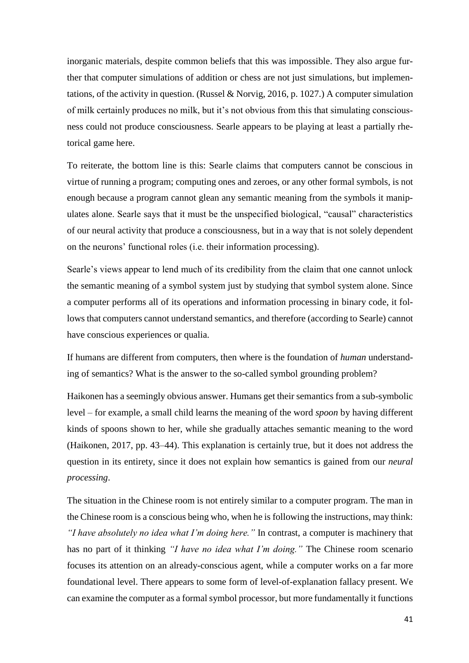inorganic materials, despite common beliefs that this was impossible. They also argue further that computer simulations of addition or chess are not just simulations, but implementations, of the activity in question. (Russel & Norvig, 2016, p. 1027.) A computer simulation of milk certainly produces no milk, but it's not obvious from this that simulating consciousness could not produce consciousness. Searle appears to be playing at least a partially rhetorical game here.

To reiterate, the bottom line is this: Searle claims that computers cannot be conscious in virtue of running a program; computing ones and zeroes, or any other formal symbols, is not enough because a program cannot glean any semantic meaning from the symbols it manipulates alone. Searle says that it must be the unspecified biological, "causal" characteristics of our neural activity that produce a consciousness, but in a way that is not solely dependent on the neurons' functional roles (i.e. their information processing).

Searle's views appear to lend much of its credibility from the claim that one cannot unlock the semantic meaning of a symbol system just by studying that symbol system alone. Since a computer performs all of its operations and information processing in binary code, it follows that computers cannot understand semantics, and therefore (according to Searle) cannot have conscious experiences or qualia.

If humans are different from computers, then where is the foundation of *human* understanding of semantics? What is the answer to the so-called symbol grounding problem?

Haikonen has a seemingly obvious answer. Humans get their semantics from a sub-symbolic level – for example, a small child learns the meaning of the word *spoon* by having different kinds of spoons shown to her, while she gradually attaches semantic meaning to the word (Haikonen, 2017, pp. 43–44). This explanation is certainly true, but it does not address the question in its entirety, since it does not explain how semantics is gained from our *neural processing*.

The situation in the Chinese room is not entirely similar to a computer program. The man in the Chinese room is a conscious being who, when he is following the instructions, may think: *"I have absolutely no idea what I'm doing here."* In contrast, a computer is machinery that has no part of it thinking *"I have no idea what I'm doing."* The Chinese room scenario focuses its attention on an already-conscious agent, while a computer works on a far more foundational level. There appears to some form of level-of-explanation fallacy present. We can examine the computer as a formal symbol processor, but more fundamentally it functions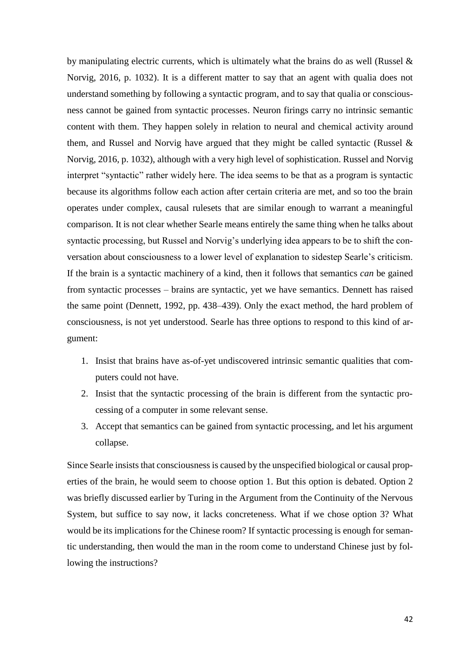by manipulating electric currents, which is ultimately what the brains do as well (Russel  $\&$ Norvig, 2016, p. 1032). It is a different matter to say that an agent with qualia does not understand something by following a syntactic program, and to say that qualia or consciousness cannot be gained from syntactic processes. Neuron firings carry no intrinsic semantic content with them. They happen solely in relation to neural and chemical activity around them, and Russel and Norvig have argued that they might be called syntactic (Russel & Norvig, 2016, p. 1032), although with a very high level of sophistication. Russel and Norvig interpret "syntactic" rather widely here. The idea seems to be that as a program is syntactic because its algorithms follow each action after certain criteria are met, and so too the brain operates under complex, causal rulesets that are similar enough to warrant a meaningful comparison. It is not clear whether Searle means entirely the same thing when he talks about syntactic processing, but Russel and Norvig's underlying idea appears to be to shift the conversation about consciousness to a lower level of explanation to sidestep Searle's criticism. If the brain is a syntactic machinery of a kind, then it follows that semantics *can* be gained from syntactic processes – brains are syntactic, yet we have semantics. Dennett has raised the same point (Dennett, 1992, pp. 438–439). Only the exact method, the hard problem of consciousness, is not yet understood. Searle has three options to respond to this kind of argument:

- 1. Insist that brains have as-of-yet undiscovered intrinsic semantic qualities that computers could not have.
- 2. Insist that the syntactic processing of the brain is different from the syntactic processing of a computer in some relevant sense.
- 3. Accept that semantics can be gained from syntactic processing, and let his argument collapse.

Since Searle insists that consciousness is caused by the unspecified biological or causal properties of the brain, he would seem to choose option 1. But this option is debated. Option 2 was briefly discussed earlier by Turing in the Argument from the Continuity of the Nervous System, but suffice to say now, it lacks concreteness. What if we chose option 3? What would be its implications for the Chinese room? If syntactic processing is enough for semantic understanding, then would the man in the room come to understand Chinese just by following the instructions?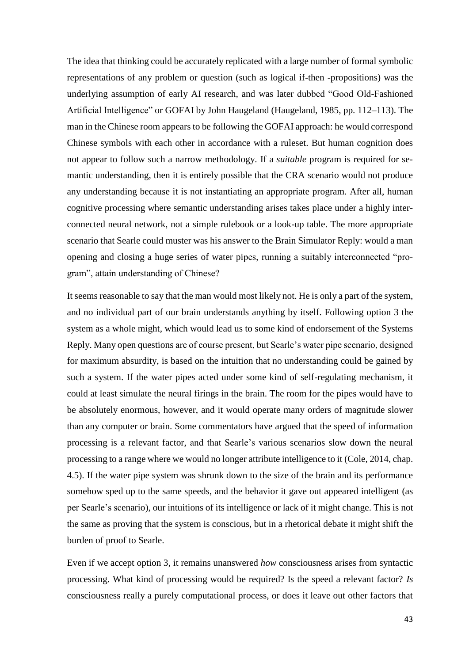The idea that thinking could be accurately replicated with a large number of formal symbolic representations of any problem or question (such as logical if-then -propositions) was the underlying assumption of early AI research, and was later dubbed "Good Old-Fashioned Artificial Intelligence" or GOFAI by John Haugeland (Haugeland, 1985, pp. 112–113). The man in the Chinese room appears to be following the GOFAI approach: he would correspond Chinese symbols with each other in accordance with a ruleset. But human cognition does not appear to follow such a narrow methodology. If a *suitable* program is required for semantic understanding, then it is entirely possible that the CRA scenario would not produce any understanding because it is not instantiating an appropriate program. After all, human cognitive processing where semantic understanding arises takes place under a highly interconnected neural network, not a simple rulebook or a look-up table. The more appropriate scenario that Searle could muster was his answer to the Brain Simulator Reply: would a man opening and closing a huge series of water pipes, running a suitably interconnected "program", attain understanding of Chinese?

It seems reasonable to say that the man would most likely not. He is only a part of the system, and no individual part of our brain understands anything by itself. Following option 3 the system as a whole might, which would lead us to some kind of endorsement of the Systems Reply. Many open questions are of course present, but Searle's water pipe scenario, designed for maximum absurdity, is based on the intuition that no understanding could be gained by such a system. If the water pipes acted under some kind of self-regulating mechanism, it could at least simulate the neural firings in the brain. The room for the pipes would have to be absolutely enormous, however, and it would operate many orders of magnitude slower than any computer or brain. Some commentators have argued that the speed of information processing is a relevant factor, and that Searle's various scenarios slow down the neural processing to a range where we would no longer attribute intelligence to it (Cole, 2014, chap. 4.5). If the water pipe system was shrunk down to the size of the brain and its performance somehow sped up to the same speeds, and the behavior it gave out appeared intelligent (as per Searle's scenario), our intuitions of its intelligence or lack of it might change. This is not the same as proving that the system is conscious, but in a rhetorical debate it might shift the burden of proof to Searle.

Even if we accept option 3, it remains unanswered *how* consciousness arises from syntactic processing. What kind of processing would be required? Is the speed a relevant factor? *Is*  consciousness really a purely computational process, or does it leave out other factors that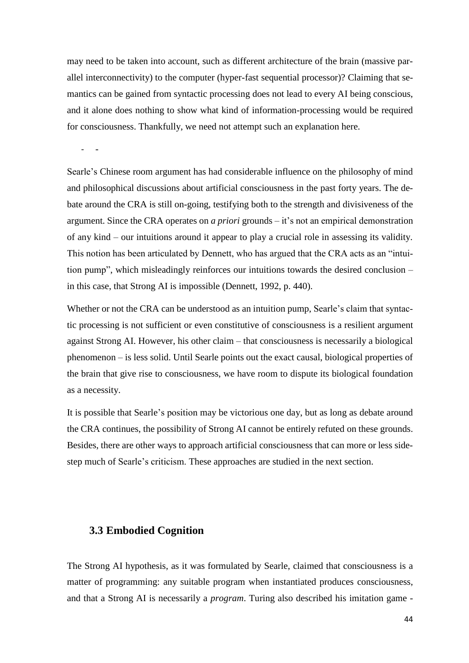may need to be taken into account, such as different architecture of the brain (massive parallel interconnectivity) to the computer (hyper-fast sequential processor)? Claiming that semantics can be gained from syntactic processing does not lead to every AI being conscious, and it alone does nothing to show what kind of information-processing would be required for consciousness. Thankfully, we need not attempt such an explanation here.

- -

Searle's Chinese room argument has had considerable influence on the philosophy of mind and philosophical discussions about artificial consciousness in the past forty years. The debate around the CRA is still on-going, testifying both to the strength and divisiveness of the argument. Since the CRA operates on *a priori* grounds – it's not an empirical demonstration of any kind – our intuitions around it appear to play a crucial role in assessing its validity. This notion has been articulated by Dennett, who has argued that the CRA acts as an "intuition pump", which misleadingly reinforces our intuitions towards the desired conclusion – in this case, that Strong AI is impossible (Dennett, 1992, p. 440).

Whether or not the CRA can be understood as an intuition pump, Searle's claim that syntactic processing is not sufficient or even constitutive of consciousness is a resilient argument against Strong AI. However, his other claim – that consciousness is necessarily a biological phenomenon – is less solid. Until Searle points out the exact causal, biological properties of the brain that give rise to consciousness, we have room to dispute its biological foundation as a necessity.

It is possible that Searle's position may be victorious one day, but as long as debate around the CRA continues, the possibility of Strong AI cannot be entirely refuted on these grounds. Besides, there are other ways to approach artificial consciousness that can more or less sidestep much of Searle's criticism. These approaches are studied in the next section.

#### <span id="page-46-0"></span>**3.3 Embodied Cognition**

The Strong AI hypothesis, as it was formulated by Searle, claimed that consciousness is a matter of programming: any suitable program when instantiated produces consciousness, and that a Strong AI is necessarily a *program*. Turing also described his imitation game -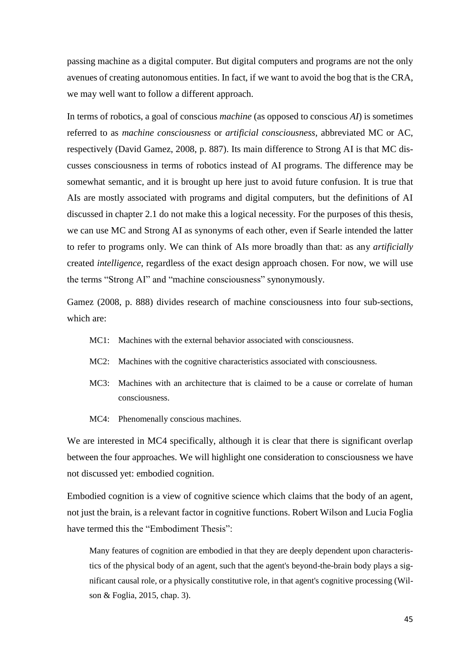passing machine as a digital computer. But digital computers and programs are not the only avenues of creating autonomous entities. In fact, if we want to avoid the bog that is the CRA, we may well want to follow a different approach.

In terms of robotics, a goal of conscious *machine* (as opposed to conscious *AI*) is sometimes referred to as *machine consciousness* or *artificial consciousness*, abbreviated MC or AC, respectively (David Gamez, 2008, p. 887). Its main difference to Strong AI is that MC discusses consciousness in terms of robotics instead of AI programs. The difference may be somewhat semantic, and it is brought up here just to avoid future confusion. It is true that AIs are mostly associated with programs and digital computers, but the definitions of AI discussed in chapter 2.1 do not make this a logical necessity. For the purposes of this thesis, we can use MC and Strong AI as synonyms of each other, even if Searle intended the latter to refer to programs only. We can think of AIs more broadly than that: as any *artificially* created *intelligence*, regardless of the exact design approach chosen. For now, we will use the terms "Strong AI" and "machine consciousness" synonymously.

Gamez (2008, p. 888) divides research of machine consciousness into four sub-sections, which are:

- MC1: Machines with the external behavior associated with consciousness.
- MC2: Machines with the cognitive characteristics associated with consciousness.
- MC3: Machines with an architecture that is claimed to be a cause or correlate of human consciousness.
- MC4: Phenomenally conscious machines.

We are interested in MC4 specifically, although it is clear that there is significant overlap between the four approaches. We will highlight one consideration to consciousness we have not discussed yet: embodied cognition.

Embodied cognition is a view of cognitive science which claims that the body of an agent, not just the brain, is a relevant factor in cognitive functions. Robert Wilson and Lucia Foglia have termed this the "Embodiment Thesis"<sup>.</sup>

Many features of cognition are embodied in that they are deeply dependent upon characteristics of the physical body of an agent, such that the agent's beyond-the-brain body plays a significant causal role, or a physically constitutive role, in that agent's cognitive processing (Wilson & Foglia, 2015, chap. 3).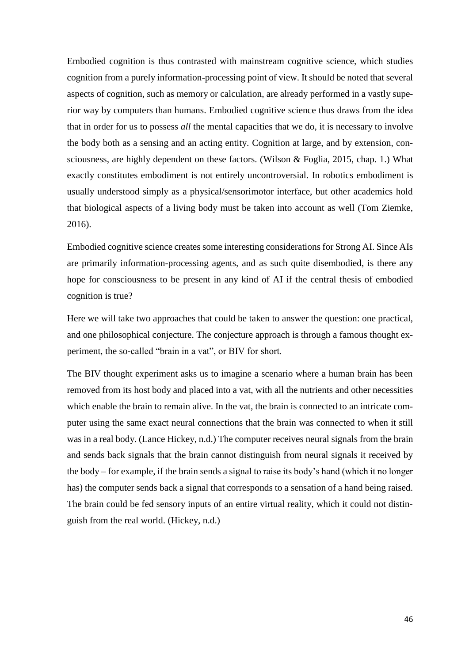Embodied cognition is thus contrasted with mainstream cognitive science, which studies cognition from a purely information-processing point of view. It should be noted that several aspects of cognition, such as memory or calculation, are already performed in a vastly superior way by computers than humans. Embodied cognitive science thus draws from the idea that in order for us to possess *all* the mental capacities that we do, it is necessary to involve the body both as a sensing and an acting entity. Cognition at large, and by extension, consciousness, are highly dependent on these factors. (Wilson & Foglia, 2015, chap. 1.) What exactly constitutes embodiment is not entirely uncontroversial. In robotics embodiment is usually understood simply as a physical/sensorimotor interface, but other academics hold that biological aspects of a living body must be taken into account as well (Tom Ziemke, 2016).

Embodied cognitive science creates some interesting considerations for Strong AI. Since AIs are primarily information-processing agents, and as such quite disembodied, is there any hope for consciousness to be present in any kind of AI if the central thesis of embodied cognition is true?

Here we will take two approaches that could be taken to answer the question: one practical, and one philosophical conjecture. The conjecture approach is through a famous thought experiment, the so-called "brain in a vat", or BIV for short.

The BIV thought experiment asks us to imagine a scenario where a human brain has been removed from its host body and placed into a vat, with all the nutrients and other necessities which enable the brain to remain alive. In the vat, the brain is connected to an intricate computer using the same exact neural connections that the brain was connected to when it still was in a real body. (Lance Hickey, n.d.) The computer receives neural signals from the brain and sends back signals that the brain cannot distinguish from neural signals it received by the body – for example, if the brain sends a signal to raise its body's hand (which it no longer has) the computer sends back a signal that corresponds to a sensation of a hand being raised. The brain could be fed sensory inputs of an entire virtual reality, which it could not distinguish from the real world. (Hickey, n.d.)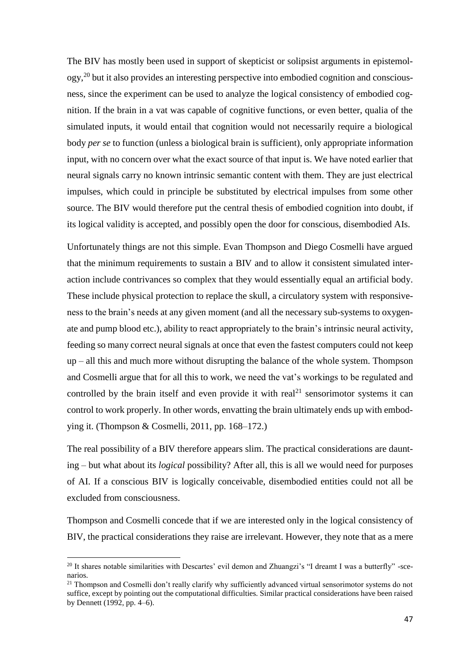The BIV has mostly been used in support of skepticist or solipsist arguments in epistemol- $\log y$ <sup>20</sup> but it also provides an interesting perspective into embodied cognition and consciousness, since the experiment can be used to analyze the logical consistency of embodied cognition. If the brain in a vat was capable of cognitive functions, or even better, qualia of the simulated inputs, it would entail that cognition would not necessarily require a biological body *per se* to function (unless a biological brain is sufficient), only appropriate information input, with no concern over what the exact source of that input is. We have noted earlier that neural signals carry no known intrinsic semantic content with them. They are just electrical impulses, which could in principle be substituted by electrical impulses from some other source. The BIV would therefore put the central thesis of embodied cognition into doubt, if its logical validity is accepted, and possibly open the door for conscious, disembodied AIs.

Unfortunately things are not this simple. Evan Thompson and Diego Cosmelli have argued that the minimum requirements to sustain a BIV and to allow it consistent simulated interaction include contrivances so complex that they would essentially equal an artificial body. These include physical protection to replace the skull, a circulatory system with responsiveness to the brain's needs at any given moment (and all the necessary sub-systems to oxygenate and pump blood etc.), ability to react appropriately to the brain's intrinsic neural activity, feeding so many correct neural signals at once that even the fastest computers could not keep up – all this and much more without disrupting the balance of the whole system. Thompson and Cosmelli argue that for all this to work, we need the vat's workings to be regulated and controlled by the brain itself and even provide it with real<sup>21</sup> sensorimotor systems it can control to work properly. In other words, envatting the brain ultimately ends up with embodying it. (Thompson & Cosmelli, 2011, pp. 168–172.)

The real possibility of a BIV therefore appears slim. The practical considerations are daunting – but what about its *logical* possibility? After all, this is all we would need for purposes of AI. If a conscious BIV is logically conceivable, disembodied entities could not all be excluded from consciousness.

Thompson and Cosmelli concede that if we are interested only in the logical consistency of BIV, the practical considerations they raise are irrelevant. However, they note that as a mere

**.** 

<sup>&</sup>lt;sup>20</sup> It shares notable similarities with Descartes' evil demon and Zhuangzi's "I dreamt I was a butterfly" -scenarios.

<sup>&</sup>lt;sup>21</sup> Thompson and Cosmelli don't really clarify why sufficiently advanced virtual sensorimotor systems do not suffice, except by pointing out the computational difficulties. Similar practical considerations have been raised by Dennett (1992, pp. 4–6).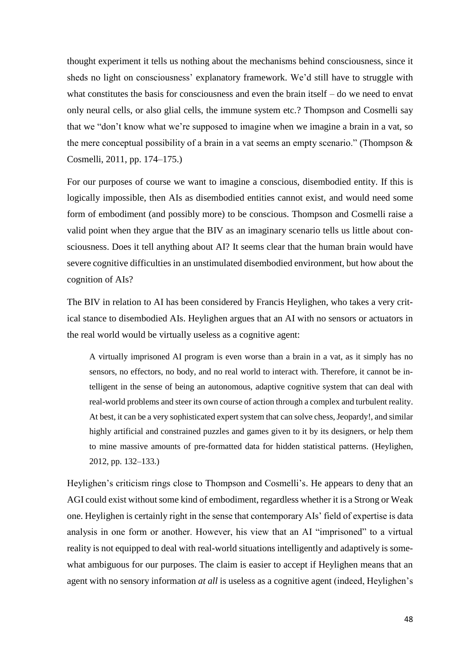thought experiment it tells us nothing about the mechanisms behind consciousness, since it sheds no light on consciousness' explanatory framework. We'd still have to struggle with what constitutes the basis for consciousness and even the brain itself – do we need to envat only neural cells, or also glial cells, the immune system etc.? Thompson and Cosmelli say that we "don't know what we're supposed to imagine when we imagine a brain in a vat, so the mere conceptual possibility of a brain in a vat seems an empty scenario." (Thompson & Cosmelli, 2011, pp. 174–175.)

For our purposes of course we want to imagine a conscious, disembodied entity. If this is logically impossible, then AIs as disembodied entities cannot exist, and would need some form of embodiment (and possibly more) to be conscious. Thompson and Cosmelli raise a valid point when they argue that the BIV as an imaginary scenario tells us little about consciousness. Does it tell anything about AI? It seems clear that the human brain would have severe cognitive difficulties in an unstimulated disembodied environment, but how about the cognition of AIs?

The BIV in relation to AI has been considered by Francis Heylighen, who takes a very critical stance to disembodied AIs. Heylighen argues that an AI with no sensors or actuators in the real world would be virtually useless as a cognitive agent:

A virtually imprisoned AI program is even worse than a brain in a vat, as it simply has no sensors, no effectors, no body, and no real world to interact with. Therefore, it cannot be intelligent in the sense of being an autonomous, adaptive cognitive system that can deal with real-world problems and steer its own course of action through a complex and turbulent reality. At best, it can be a very sophisticated expert system that can solve chess, Jeopardy!, and similar highly artificial and constrained puzzles and games given to it by its designers, or help them to mine massive amounts of pre-formatted data for hidden statistical patterns. (Heylighen, 2012, pp. 132–133.)

Heylighen's criticism rings close to Thompson and Cosmelli's. He appears to deny that an AGI could exist without some kind of embodiment, regardless whether it is a Strong or Weak one. Heylighen is certainly right in the sense that contemporary AIs' field of expertise is data analysis in one form or another. However, his view that an AI "imprisoned" to a virtual reality is not equipped to deal with real-world situations intelligently and adaptively is somewhat ambiguous for our purposes. The claim is easier to accept if Heylighen means that an agent with no sensory information *at all* is useless as a cognitive agent (indeed, Heylighen's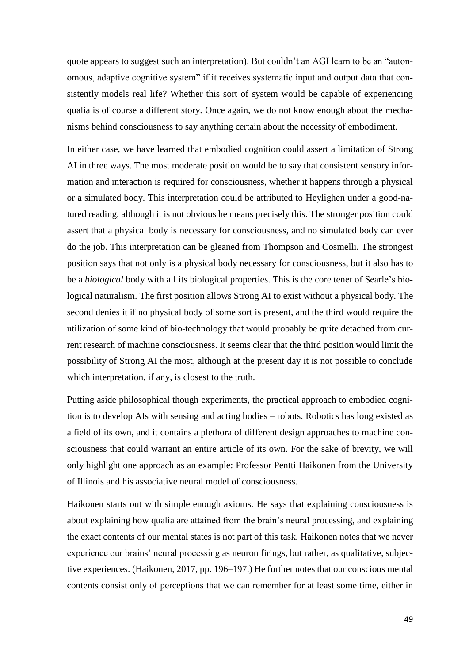quote appears to suggest such an interpretation). But couldn't an AGI learn to be an "autonomous, adaptive cognitive system" if it receives systematic input and output data that consistently models real life? Whether this sort of system would be capable of experiencing qualia is of course a different story. Once again, we do not know enough about the mechanisms behind consciousness to say anything certain about the necessity of embodiment.

In either case, we have learned that embodied cognition could assert a limitation of Strong AI in three ways. The most moderate position would be to say that consistent sensory information and interaction is required for consciousness, whether it happens through a physical or a simulated body. This interpretation could be attributed to Heylighen under a good-natured reading, although it is not obvious he means precisely this. The stronger position could assert that a physical body is necessary for consciousness, and no simulated body can ever do the job. This interpretation can be gleaned from Thompson and Cosmelli. The strongest position says that not only is a physical body necessary for consciousness, but it also has to be a *biological* body with all its biological properties. This is the core tenet of Searle's biological naturalism. The first position allows Strong AI to exist without a physical body. The second denies it if no physical body of some sort is present, and the third would require the utilization of some kind of bio-technology that would probably be quite detached from current research of machine consciousness. It seems clear that the third position would limit the possibility of Strong AI the most, although at the present day it is not possible to conclude which interpretation, if any, is closest to the truth.

Putting aside philosophical though experiments, the practical approach to embodied cognition is to develop AIs with sensing and acting bodies – robots. Robotics has long existed as a field of its own, and it contains a plethora of different design approaches to machine consciousness that could warrant an entire article of its own. For the sake of brevity, we will only highlight one approach as an example: Professor Pentti Haikonen from the University of Illinois and his associative neural model of consciousness.

Haikonen starts out with simple enough axioms. He says that explaining consciousness is about explaining how qualia are attained from the brain's neural processing, and explaining the exact contents of our mental states is not part of this task. Haikonen notes that we never experience our brains' neural processing as neuron firings, but rather, as qualitative, subjective experiences. (Haikonen, 2017, pp. 196–197.) He further notes that our conscious mental contents consist only of perceptions that we can remember for at least some time, either in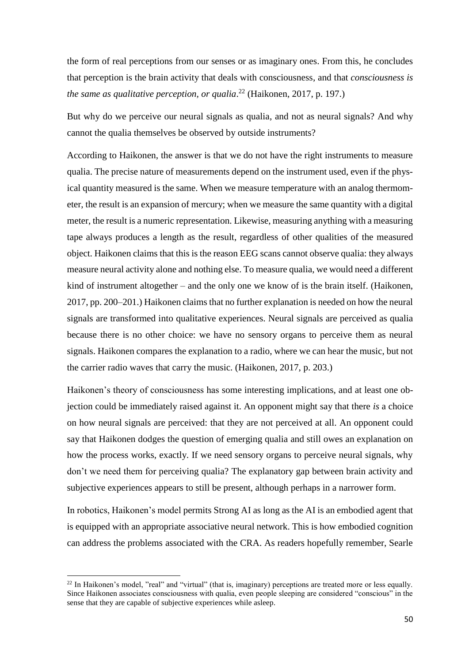the form of real perceptions from our senses or as imaginary ones. From this, he concludes that perception is the brain activity that deals with consciousness, and that *consciousness is the same as qualitative perception, or qualia*. <sup>22</sup> (Haikonen, 2017, p. 197.)

But why do we perceive our neural signals as qualia, and not as neural signals? And why cannot the qualia themselves be observed by outside instruments?

According to Haikonen, the answer is that we do not have the right instruments to measure qualia. The precise nature of measurements depend on the instrument used, even if the physical quantity measured is the same. When we measure temperature with an analog thermometer, the result is an expansion of mercury; when we measure the same quantity with a digital meter, the result is a numeric representation. Likewise, measuring anything with a measuring tape always produces a length as the result, regardless of other qualities of the measured object. Haikonen claims that this is the reason EEG scans cannot observe qualia: they always measure neural activity alone and nothing else. To measure qualia, we would need a different kind of instrument altogether – and the only one we know of is the brain itself. (Haikonen, 2017, pp. 200–201.) Haikonen claims that no further explanation is needed on how the neural signals are transformed into qualitative experiences. Neural signals are perceived as qualia because there is no other choice: we have no sensory organs to perceive them as neural signals. Haikonen compares the explanation to a radio, where we can hear the music, but not the carrier radio waves that carry the music. (Haikonen, 2017, p. 203.)

Haikonen's theory of consciousness has some interesting implications, and at least one objection could be immediately raised against it. An opponent might say that there *is* a choice on how neural signals are perceived: that they are not perceived at all. An opponent could say that Haikonen dodges the question of emerging qualia and still owes an explanation on how the process works, exactly. If we need sensory organs to perceive neural signals, why don't we need them for perceiving qualia? The explanatory gap between brain activity and subjective experiences appears to still be present, although perhaps in a narrower form.

In robotics, Haikonen's model permits Strong AI as long as the AI is an embodied agent that is equipped with an appropriate associative neural network. This is how embodied cognition can address the problems associated with the CRA. As readers hopefully remember, Searle

1

<sup>&</sup>lt;sup>22</sup> In Haikonen's model, "real" and "virtual" (that is, imaginary) perceptions are treated more or less equally. Since Haikonen associates consciousness with qualia, even people sleeping are considered "conscious" in the sense that they are capable of subjective experiences while asleep.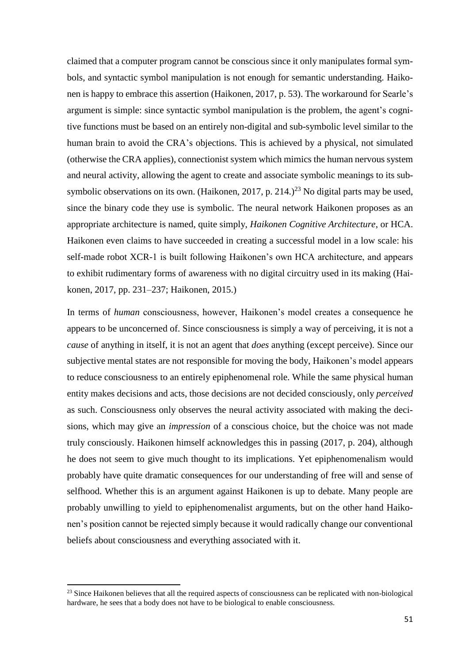claimed that a computer program cannot be conscious since it only manipulates formal symbols, and syntactic symbol manipulation is not enough for semantic understanding. Haikonen is happy to embrace this assertion (Haikonen, 2017, p. 53). The workaround for Searle's argument is simple: since syntactic symbol manipulation is the problem, the agent's cognitive functions must be based on an entirely non-digital and sub-symbolic level similar to the human brain to avoid the CRA's objections. This is achieved by a physical, not simulated (otherwise the CRA applies), connectionist system which mimics the human nervous system and neural activity, allowing the agent to create and associate symbolic meanings to its subsymbolic observations on its own. (Haikonen, 2017, p. 214.)<sup>23</sup> No digital parts may be used, since the binary code they use is symbolic. The neural network Haikonen proposes as an appropriate architecture is named, quite simply, *Haikonen Cognitive Architecture*, or HCA. Haikonen even claims to have succeeded in creating a successful model in a low scale: his self-made robot XCR-1 is built following Haikonen's own HCA architecture, and appears to exhibit rudimentary forms of awareness with no digital circuitry used in its making (Haikonen, 2017, pp. 231–237; Haikonen, 2015.)

In terms of *human* consciousness, however, Haikonen's model creates a consequence he appears to be unconcerned of. Since consciousness is simply a way of perceiving, it is not a *cause* of anything in itself, it is not an agent that *does* anything (except perceive). Since our subjective mental states are not responsible for moving the body, Haikonen's model appears to reduce consciousness to an entirely epiphenomenal role. While the same physical human entity makes decisions and acts, those decisions are not decided consciously, only *perceived*  as such. Consciousness only observes the neural activity associated with making the decisions, which may give an *impression* of a conscious choice, but the choice was not made truly consciously. Haikonen himself acknowledges this in passing (2017, p. 204), although he does not seem to give much thought to its implications. Yet epiphenomenalism would probably have quite dramatic consequences for our understanding of free will and sense of selfhood. Whether this is an argument against Haikonen is up to debate. Many people are probably unwilling to yield to epiphenomenalist arguments, but on the other hand Haikonen's position cannot be rejected simply because it would radically change our conventional beliefs about consciousness and everything associated with it.

**.** 

<sup>&</sup>lt;sup>23</sup> Since Haikonen believes that all the required aspects of consciousness can be replicated with non-biological hardware, he sees that a body does not have to be biological to enable consciousness.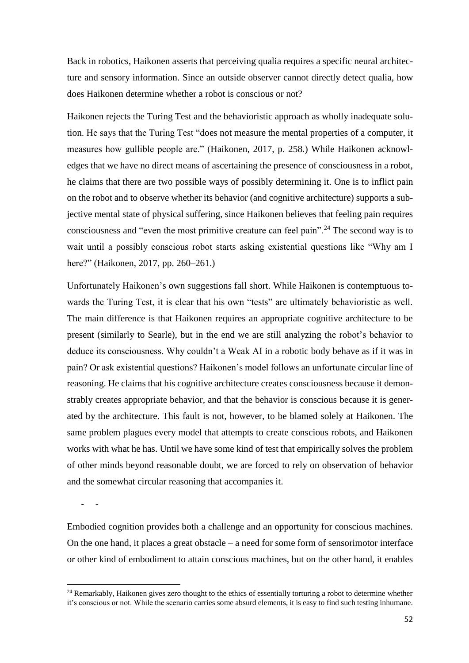Back in robotics, Haikonen asserts that perceiving qualia requires a specific neural architecture and sensory information. Since an outside observer cannot directly detect qualia, how does Haikonen determine whether a robot is conscious or not?

Haikonen rejects the Turing Test and the behavioristic approach as wholly inadequate solution. He says that the Turing Test "does not measure the mental properties of a computer, it measures how gullible people are." (Haikonen, 2017, p. 258.) While Haikonen acknowledges that we have no direct means of ascertaining the presence of consciousness in a robot, he claims that there are two possible ways of possibly determining it. One is to inflict pain on the robot and to observe whether its behavior (and cognitive architecture) supports a subjective mental state of physical suffering, since Haikonen believes that feeling pain requires consciousness and "even the most primitive creature can feel pain".<sup>24</sup> The second way is to wait until a possibly conscious robot starts asking existential questions like "Why am I here?" (Haikonen, 2017, pp. 260–261.)

Unfortunately Haikonen's own suggestions fall short. While Haikonen is contemptuous towards the Turing Test, it is clear that his own "tests" are ultimately behavioristic as well. The main difference is that Haikonen requires an appropriate cognitive architecture to be present (similarly to Searle), but in the end we are still analyzing the robot's behavior to deduce its consciousness. Why couldn't a Weak AI in a robotic body behave as if it was in pain? Or ask existential questions? Haikonen's model follows an unfortunate circular line of reasoning. He claims that his cognitive architecture creates consciousness because it demonstrably creates appropriate behavior, and that the behavior is conscious because it is generated by the architecture. This fault is not, however, to be blamed solely at Haikonen. The same problem plagues every model that attempts to create conscious robots, and Haikonen works with what he has. Until we have some kind of test that empirically solves the problem of other minds beyond reasonable doubt, we are forced to rely on observation of behavior and the somewhat circular reasoning that accompanies it.

- -

**.** 

Embodied cognition provides both a challenge and an opportunity for conscious machines. On the one hand, it places a great obstacle – a need for some form of sensorimotor interface or other kind of embodiment to attain conscious machines, but on the other hand, it enables

<sup>&</sup>lt;sup>24</sup> Remarkably, Haikonen gives zero thought to the ethics of essentially torturing a robot to determine whether it's conscious or not. While the scenario carries some absurd elements, it is easy to find such testing inhumane.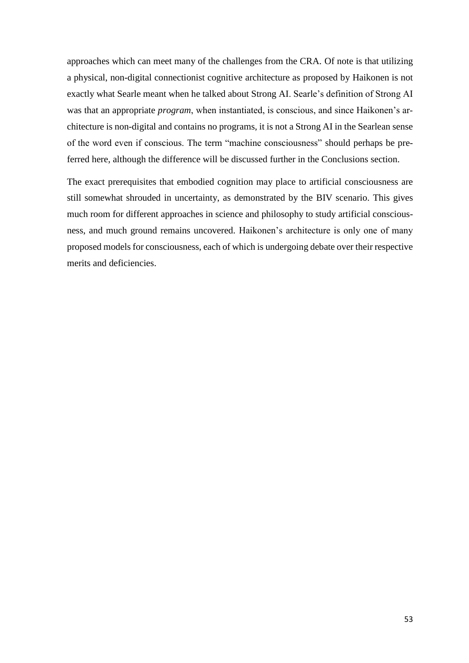approaches which can meet many of the challenges from the CRA. Of note is that utilizing a physical, non-digital connectionist cognitive architecture as proposed by Haikonen is not exactly what Searle meant when he talked about Strong AI. Searle's definition of Strong AI was that an appropriate *program*, when instantiated, is conscious, and since Haikonen's architecture is non-digital and contains no programs, it is not a Strong AI in the Searlean sense of the word even if conscious. The term "machine consciousness" should perhaps be preferred here, although the difference will be discussed further in the Conclusions section.

The exact prerequisites that embodied cognition may place to artificial consciousness are still somewhat shrouded in uncertainty, as demonstrated by the BIV scenario. This gives much room for different approaches in science and philosophy to study artificial consciousness, and much ground remains uncovered. Haikonen's architecture is only one of many proposed models for consciousness, each of which is undergoing debate over their respective merits and deficiencies.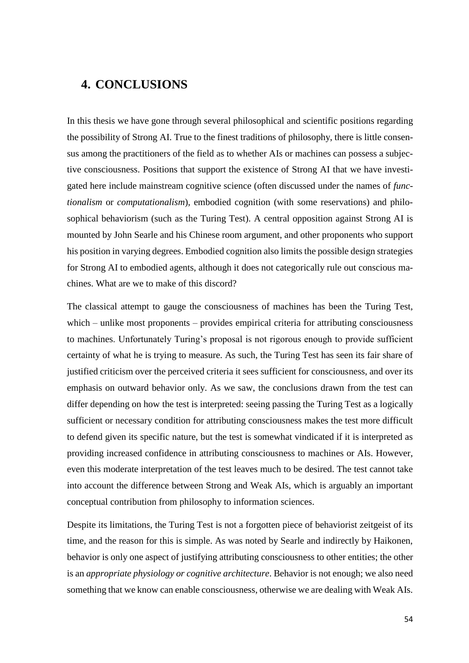## <span id="page-56-0"></span>**4. CONCLUSIONS**

In this thesis we have gone through several philosophical and scientific positions regarding the possibility of Strong AI. True to the finest traditions of philosophy, there is little consensus among the practitioners of the field as to whether AIs or machines can possess a subjective consciousness. Positions that support the existence of Strong AI that we have investigated here include mainstream cognitive science (often discussed under the names of *functionalism* or *computationalism*), embodied cognition (with some reservations) and philosophical behaviorism (such as the Turing Test). A central opposition against Strong AI is mounted by John Searle and his Chinese room argument, and other proponents who support his position in varying degrees. Embodied cognition also limits the possible design strategies for Strong AI to embodied agents, although it does not categorically rule out conscious machines. What are we to make of this discord?

The classical attempt to gauge the consciousness of machines has been the Turing Test, which – unlike most proponents – provides empirical criteria for attributing consciousness to machines. Unfortunately Turing's proposal is not rigorous enough to provide sufficient certainty of what he is trying to measure. As such, the Turing Test has seen its fair share of justified criticism over the perceived criteria it sees sufficient for consciousness, and over its emphasis on outward behavior only. As we saw, the conclusions drawn from the test can differ depending on how the test is interpreted: seeing passing the Turing Test as a logically sufficient or necessary condition for attributing consciousness makes the test more difficult to defend given its specific nature, but the test is somewhat vindicated if it is interpreted as providing increased confidence in attributing consciousness to machines or AIs. However, even this moderate interpretation of the test leaves much to be desired. The test cannot take into account the difference between Strong and Weak AIs, which is arguably an important conceptual contribution from philosophy to information sciences.

Despite its limitations, the Turing Test is not a forgotten piece of behaviorist zeitgeist of its time, and the reason for this is simple. As was noted by Searle and indirectly by Haikonen, behavior is only one aspect of justifying attributing consciousness to other entities; the other is an *appropriate physiology or cognitive architecture*. Behavior is not enough; we also need something that we know can enable consciousness, otherwise we are dealing with Weak AIs.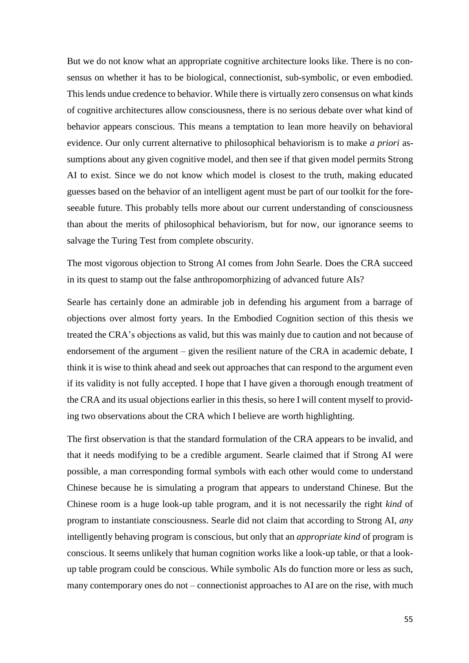But we do not know what an appropriate cognitive architecture looks like. There is no consensus on whether it has to be biological, connectionist, sub-symbolic, or even embodied. This lends undue credence to behavior. While there is virtually zero consensus on what kinds of cognitive architectures allow consciousness, there is no serious debate over what kind of behavior appears conscious. This means a temptation to lean more heavily on behavioral evidence. Our only current alternative to philosophical behaviorism is to make *a priori* assumptions about any given cognitive model, and then see if that given model permits Strong AI to exist. Since we do not know which model is closest to the truth, making educated guesses based on the behavior of an intelligent agent must be part of our toolkit for the foreseeable future. This probably tells more about our current understanding of consciousness than about the merits of philosophical behaviorism, but for now, our ignorance seems to salvage the Turing Test from complete obscurity.

The most vigorous objection to Strong AI comes from John Searle. Does the CRA succeed in its quest to stamp out the false anthropomorphizing of advanced future AIs?

Searle has certainly done an admirable job in defending his argument from a barrage of objections over almost forty years. In the Embodied Cognition section of this thesis we treated the CRA's objections as valid, but this was mainly due to caution and not because of endorsement of the argument – given the resilient nature of the CRA in academic debate, I think it is wise to think ahead and seek out approaches that can respond to the argument even if its validity is not fully accepted. I hope that I have given a thorough enough treatment of the CRA and its usual objections earlier in this thesis, so here I will content myself to providing two observations about the CRA which I believe are worth highlighting.

The first observation is that the standard formulation of the CRA appears to be invalid, and that it needs modifying to be a credible argument. Searle claimed that if Strong AI were possible, a man corresponding formal symbols with each other would come to understand Chinese because he is simulating a program that appears to understand Chinese. But the Chinese room is a huge look-up table program, and it is not necessarily the right *kind* of program to instantiate consciousness. Searle did not claim that according to Strong AI, *any* intelligently behaving program is conscious, but only that an *appropriate kind* of program is conscious. It seems unlikely that human cognition works like a look-up table, or that a lookup table program could be conscious. While symbolic AIs do function more or less as such, many contemporary ones do not – connectionist approaches to AI are on the rise, with much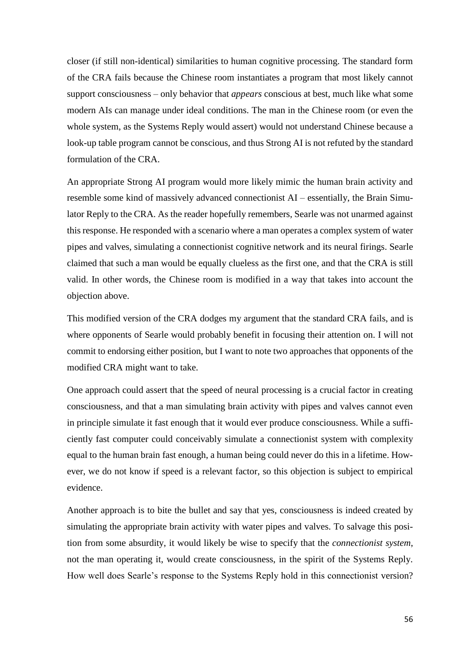closer (if still non-identical) similarities to human cognitive processing. The standard form of the CRA fails because the Chinese room instantiates a program that most likely cannot support consciousness – only behavior that *appears* conscious at best, much like what some modern AIs can manage under ideal conditions. The man in the Chinese room (or even the whole system, as the Systems Reply would assert) would not understand Chinese because a look-up table program cannot be conscious, and thus Strong AI is not refuted by the standard formulation of the CRA.

An appropriate Strong AI program would more likely mimic the human brain activity and resemble some kind of massively advanced connectionist AI – essentially, the Brain Simulator Reply to the CRA. As the reader hopefully remembers, Searle was not unarmed against this response. He responded with a scenario where a man operates a complex system of water pipes and valves, simulating a connectionist cognitive network and its neural firings. Searle claimed that such a man would be equally clueless as the first one, and that the CRA is still valid. In other words, the Chinese room is modified in a way that takes into account the objection above.

This modified version of the CRA dodges my argument that the standard CRA fails, and is where opponents of Searle would probably benefit in focusing their attention on. I will not commit to endorsing either position, but I want to note two approaches that opponents of the modified CRA might want to take.

One approach could assert that the speed of neural processing is a crucial factor in creating consciousness, and that a man simulating brain activity with pipes and valves cannot even in principle simulate it fast enough that it would ever produce consciousness. While a sufficiently fast computer could conceivably simulate a connectionist system with complexity equal to the human brain fast enough, a human being could never do this in a lifetime. However, we do not know if speed is a relevant factor, so this objection is subject to empirical evidence.

Another approach is to bite the bullet and say that yes, consciousness is indeed created by simulating the appropriate brain activity with water pipes and valves. To salvage this position from some absurdity, it would likely be wise to specify that the *connectionist system*, not the man operating it, would create consciousness, in the spirit of the Systems Reply. How well does Searle's response to the Systems Reply hold in this connectionist version?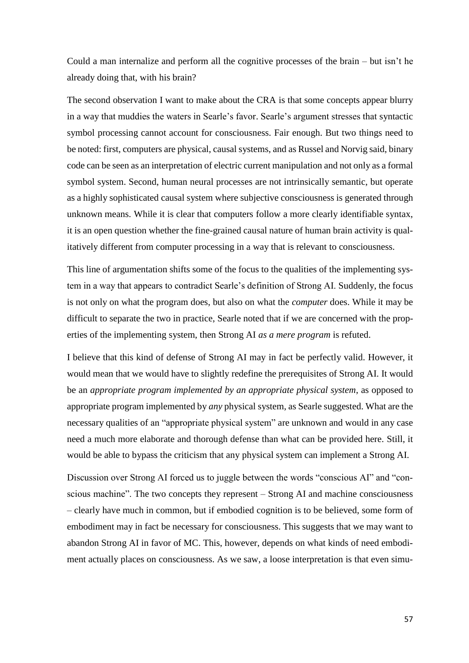Could a man internalize and perform all the cognitive processes of the brain – but isn't he already doing that, with his brain?

The second observation I want to make about the CRA is that some concepts appear blurry in a way that muddies the waters in Searle's favor. Searle's argument stresses that syntactic symbol processing cannot account for consciousness. Fair enough. But two things need to be noted: first, computers are physical, causal systems, and as Russel and Norvig said, binary code can be seen as an interpretation of electric current manipulation and not only as a formal symbol system. Second, human neural processes are not intrinsically semantic, but operate as a highly sophisticated causal system where subjective consciousness is generated through unknown means. While it is clear that computers follow a more clearly identifiable syntax, it is an open question whether the fine-grained causal nature of human brain activity is qualitatively different from computer processing in a way that is relevant to consciousness.

This line of argumentation shifts some of the focus to the qualities of the implementing system in a way that appears to contradict Searle's definition of Strong AI. Suddenly, the focus is not only on what the program does, but also on what the *computer* does. While it may be difficult to separate the two in practice, Searle noted that if we are concerned with the properties of the implementing system, then Strong AI *as a mere program* is refuted.

I believe that this kind of defense of Strong AI may in fact be perfectly valid. However, it would mean that we would have to slightly redefine the prerequisites of Strong AI. It would be an *appropriate program implemented by an appropriate physical system*, as opposed to appropriate program implemented by *any* physical system, as Searle suggested. What are the necessary qualities of an "appropriate physical system" are unknown and would in any case need a much more elaborate and thorough defense than what can be provided here. Still, it would be able to bypass the criticism that any physical system can implement a Strong AI.

Discussion over Strong AI forced us to juggle between the words "conscious AI" and "conscious machine". The two concepts they represent – Strong AI and machine consciousness – clearly have much in common, but if embodied cognition is to be believed, some form of embodiment may in fact be necessary for consciousness. This suggests that we may want to abandon Strong AI in favor of MC. This, however, depends on what kinds of need embodiment actually places on consciousness. As we saw, a loose interpretation is that even simu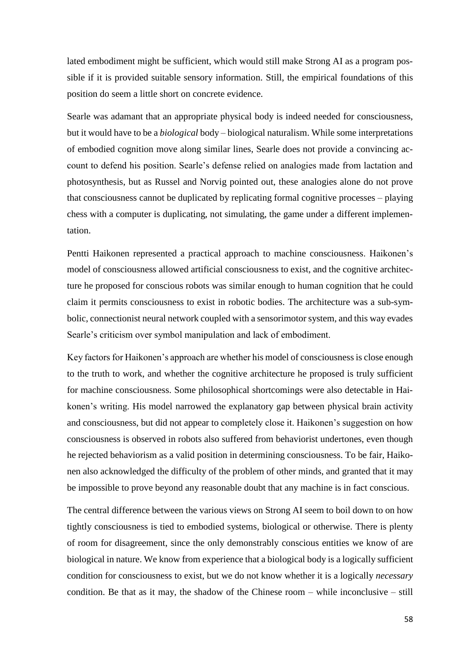lated embodiment might be sufficient, which would still make Strong AI as a program possible if it is provided suitable sensory information. Still, the empirical foundations of this position do seem a little short on concrete evidence.

Searle was adamant that an appropriate physical body is indeed needed for consciousness, but it would have to be a *biological* body – biological naturalism. While some interpretations of embodied cognition move along similar lines, Searle does not provide a convincing account to defend his position. Searle's defense relied on analogies made from lactation and photosynthesis, but as Russel and Norvig pointed out, these analogies alone do not prove that consciousness cannot be duplicated by replicating formal cognitive processes – playing chess with a computer is duplicating, not simulating, the game under a different implementation.

Pentti Haikonen represented a practical approach to machine consciousness. Haikonen's model of consciousness allowed artificial consciousness to exist, and the cognitive architecture he proposed for conscious robots was similar enough to human cognition that he could claim it permits consciousness to exist in robotic bodies. The architecture was a sub-symbolic, connectionist neural network coupled with a sensorimotor system, and this way evades Searle's criticism over symbol manipulation and lack of embodiment.

Key factors for Haikonen's approach are whether his model of consciousness is close enough to the truth to work, and whether the cognitive architecture he proposed is truly sufficient for machine consciousness. Some philosophical shortcomings were also detectable in Haikonen's writing. His model narrowed the explanatory gap between physical brain activity and consciousness, but did not appear to completely close it. Haikonen's suggestion on how consciousness is observed in robots also suffered from behaviorist undertones, even though he rejected behaviorism as a valid position in determining consciousness. To be fair, Haikonen also acknowledged the difficulty of the problem of other minds, and granted that it may be impossible to prove beyond any reasonable doubt that any machine is in fact conscious.

The central difference between the various views on Strong AI seem to boil down to on how tightly consciousness is tied to embodied systems, biological or otherwise. There is plenty of room for disagreement, since the only demonstrably conscious entities we know of are biological in nature. We know from experience that a biological body is a logically sufficient condition for consciousness to exist, but we do not know whether it is a logically *necessary* condition. Be that as it may, the shadow of the Chinese room – while inconclusive – still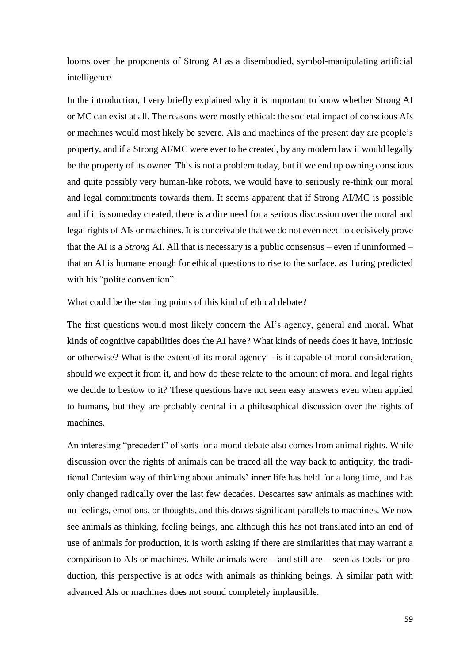looms over the proponents of Strong AI as a disembodied, symbol-manipulating artificial intelligence.

In the introduction, I very briefly explained why it is important to know whether Strong AI or MC can exist at all. The reasons were mostly ethical: the societal impact of conscious AIs or machines would most likely be severe. AIs and machines of the present day are people's property, and if a Strong AI/MC were ever to be created, by any modern law it would legally be the property of its owner. This is not a problem today, but if we end up owning conscious and quite possibly very human-like robots, we would have to seriously re-think our moral and legal commitments towards them. It seems apparent that if Strong AI/MC is possible and if it is someday created, there is a dire need for a serious discussion over the moral and legal rights of AIs or machines. It is conceivable that we do not even need to decisively prove that the AI is a *Strong* AI. All that is necessary is a public consensus – even if uninformed – that an AI is humane enough for ethical questions to rise to the surface, as Turing predicted with his "polite convention".

What could be the starting points of this kind of ethical debate?

The first questions would most likely concern the AI's agency, general and moral. What kinds of cognitive capabilities does the AI have? What kinds of needs does it have, intrinsic or otherwise? What is the extent of its moral agency  $-$  is it capable of moral consideration, should we expect it from it, and how do these relate to the amount of moral and legal rights we decide to bestow to it? These questions have not seen easy answers even when applied to humans, but they are probably central in a philosophical discussion over the rights of machines.

An interesting "precedent" of sorts for a moral debate also comes from animal rights. While discussion over the rights of animals can be traced all the way back to antiquity, the traditional Cartesian way of thinking about animals' inner life has held for a long time, and has only changed radically over the last few decades. Descartes saw animals as machines with no feelings, emotions, or thoughts, and this draws significant parallels to machines. We now see animals as thinking, feeling beings, and although this has not translated into an end of use of animals for production, it is worth asking if there are similarities that may warrant a comparison to AIs or machines. While animals were – and still are – seen as tools for production, this perspective is at odds with animals as thinking beings. A similar path with advanced AIs or machines does not sound completely implausible.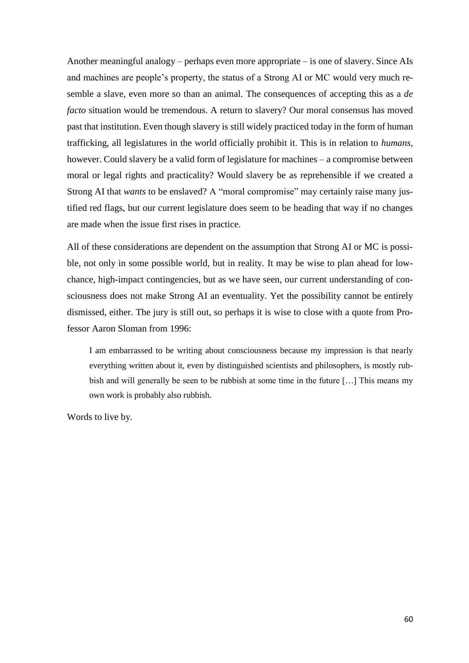Another meaningful analogy – perhaps even more appropriate – is one of slavery. Since AIs and machines are people's property, the status of a Strong AI or MC would very much resemble a slave, even more so than an animal. The consequences of accepting this as a *de facto* situation would be tremendous. A return to slavery? Our moral consensus has moved past that institution. Even though slavery is still widely practiced today in the form of human trafficking, all legislatures in the world officially prohibit it. This is in relation to *humans*, however. Could slavery be a valid form of legislature for machines – a compromise between moral or legal rights and practicality? Would slavery be as reprehensible if we created a Strong AI that *wants* to be enslaved? A "moral compromise" may certainly raise many justified red flags, but our current legislature does seem to be heading that way if no changes are made when the issue first rises in practice.

All of these considerations are dependent on the assumption that Strong AI or MC is possible, not only in some possible world, but in reality. It may be wise to plan ahead for lowchance, high-impact contingencies, but as we have seen, our current understanding of consciousness does not make Strong AI an eventuality. Yet the possibility cannot be entirely dismissed, either. The jury is still out, so perhaps it is wise to close with a quote from Professor Aaron Sloman from 1996:

I am embarrassed to be writing about consciousness because my impression is that nearly everything written about it, even by distinguished scientists and philosophers, is mostly rubbish and will generally be seen to be rubbish at some time in the future […] This means my own work is probably also rubbish.

Words to live by.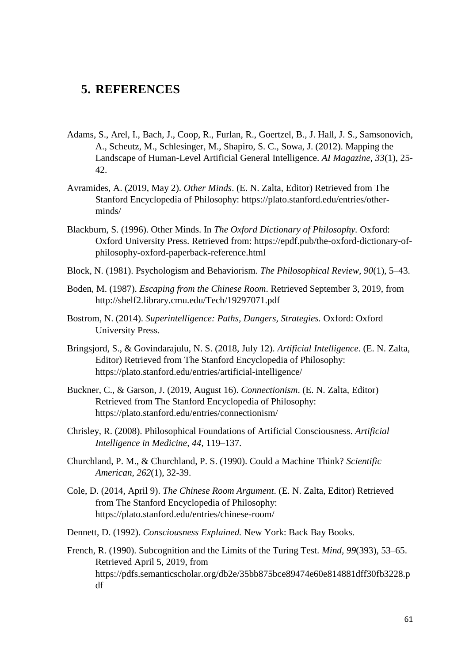#### <span id="page-63-0"></span>**5. REFERENCES**

- Adams, S., Arel, I., Bach, J., Coop, R., Furlan, R., Goertzel, B., J. Hall, J. S., Samsonovich, A., Scheutz, M., Schlesinger, M., Shapiro, S. C., Sowa, J. (2012). Mapping the Landscape of Human-Level Artificial General Intelligence. *AI Magazine, 33*(1), 25- 42.
- Avramides, A. (2019, May 2). *Other Minds*. (E. N. Zalta, Editor) Retrieved from The Stanford Encyclopedia of Philosophy: https://plato.stanford.edu/entries/otherminds/
- Blackburn, S. (1996). Other Minds. In *The Oxford Dictionary of Philosophy.* Oxford: Oxford University Press. Retrieved from: https://epdf.pub/the-oxford-dictionary-ofphilosophy-oxford-paperback-reference.html
- Block, N. (1981). Psychologism and Behaviorism. *The Philosophical Review, 90*(1), 5–43.
- Boden, M. (1987). *Escaping from the Chinese Room*. Retrieved September 3, 2019, from http://shelf2.library.cmu.edu/Tech/19297071.pdf
- Bostrom, N. (2014). *Superintelligence: Paths, Dangers, Strategies.* Oxford: Oxford University Press.
- Bringsjord, S., & Govindarajulu, N. S. (2018, July 12). *Artificial Intelligence*. (E. N. Zalta, Editor) Retrieved from The Stanford Encyclopedia of Philosophy: https://plato.stanford.edu/entries/artificial-intelligence/
- Buckner, C., & Garson, J. (2019, August 16). *Connectionism*. (E. N. Zalta, Editor) Retrieved from The Stanford Encyclopedia of Philosophy: https://plato.stanford.edu/entries/connectionism/
- Chrisley, R. (2008). Philosophical Foundations of Artificial Consciousness. *Artificial Intelligence in Medicine, 44*, 119–137.
- Churchland, P. M., & Churchland, P. S. (1990). Could a Machine Think? *Scientific American, 262*(1), 32-39.
- Cole, D. (2014, April 9). *The Chinese Room Argument*. (E. N. Zalta, Editor) Retrieved from The Stanford Encyclopedia of Philosophy: https://plato.stanford.edu/entries/chinese-room/
- Dennett, D. (1992). *Consciousness Explained.* New York: Back Bay Books.
- French, R. (1990). Subcognition and the Limits of the Turing Test. *Mind, 99*(393), 53–65. Retrieved April 5, 2019, from https://pdfs.semanticscholar.org/db2e/35bb875bce89474e60e814881dff30fb3228.p df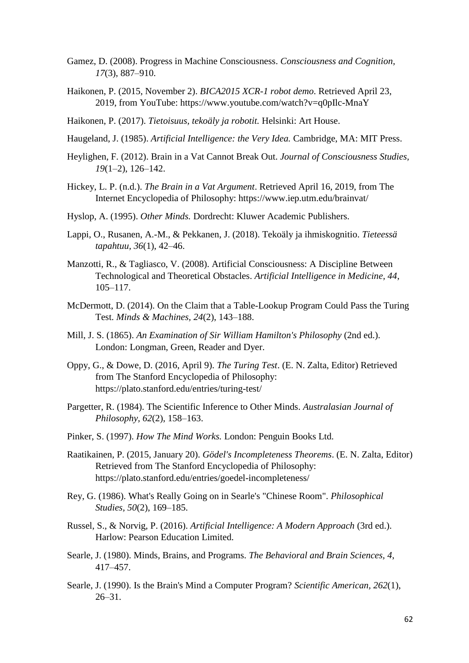- Gamez, D. (2008). Progress in Machine Consciousness. *Consciousness and Cognition, 17*(3), 887–910.
- Haikonen, P. (2015, November 2). *BICA2015 XCR-1 robot demo*. Retrieved April 23, 2019, from YouTube: https://www.youtube.com/watch?v=q0pIlc-MnaY
- Haikonen, P. (2017). *Tietoisuus, tekoäly ja robotit.* Helsinki: Art House.
- Haugeland, J. (1985). *Artificial Intelligence: the Very Idea.* Cambridge, MA: MIT Press.
- Heylighen, F. (2012). Brain in a Vat Cannot Break Out. *Journal of Consciousness Studies, 19*(1–2), 126–142.
- Hickey, L. P. (n.d.). *The Brain in a Vat Argument*. Retrieved April 16, 2019, from The Internet Encyclopedia of Philosophy: https://www.iep.utm.edu/brainvat/
- Hyslop, A. (1995). *Other Minds.* Dordrecht: Kluwer Academic Publishers.
- Lappi, O., Rusanen, A.-M., & Pekkanen, J. (2018). Tekoäly ja ihmiskognitio. *Tieteessä tapahtuu, 36*(1), 42–46.
- Manzotti, R., & Tagliasco, V. (2008). Artificial Consciousness: A Discipline Between Technological and Theoretical Obstacles. *Artificial Intelligence in Medicine, 44*, 105–117.
- McDermott, D. (2014). On the Claim that a Table-Lookup Program Could Pass the Turing Test. *Minds & Machines, 24*(2), 143–188.
- Mill, J. S. (1865). *An Examination of Sir William Hamilton's Philosophy* (2nd ed.). London: Longman, Green, Reader and Dyer.
- Oppy, G., & Dowe, D. (2016, April 9). *The Turing Test*. (E. N. Zalta, Editor) Retrieved from The Stanford Encyclopedia of Philosophy: https://plato.stanford.edu/entries/turing-test/
- Pargetter, R. (1984). The Scientific Inference to Other Minds. *Australasian Journal of Philosophy, 62*(2), 158–163.
- Pinker, S. (1997). *How The Mind Works.* London: Penguin Books Ltd.
- Raatikainen, P. (2015, January 20). *Gödel's Incompleteness Theorems*. (E. N. Zalta, Editor) Retrieved from The Stanford Encyclopedia of Philosophy: https://plato.stanford.edu/entries/goedel-incompleteness/
- Rey, G. (1986). What's Really Going on in Searle's "Chinese Room". *Philosophical Studies, 50*(2), 169–185.
- Russel, S., & Norvig, P. (2016). *Artificial Intelligence: A Modern Approach* (3rd ed.). Harlow: Pearson Education Limited.
- Searle, J. (1980). Minds, Brains, and Programs. *The Behavioral and Brain Sciences, 4*, 417–457.
- Searle, J. (1990). Is the Brain's Mind a Computer Program? *Scientific American, 262*(1),  $26 - 31$ .